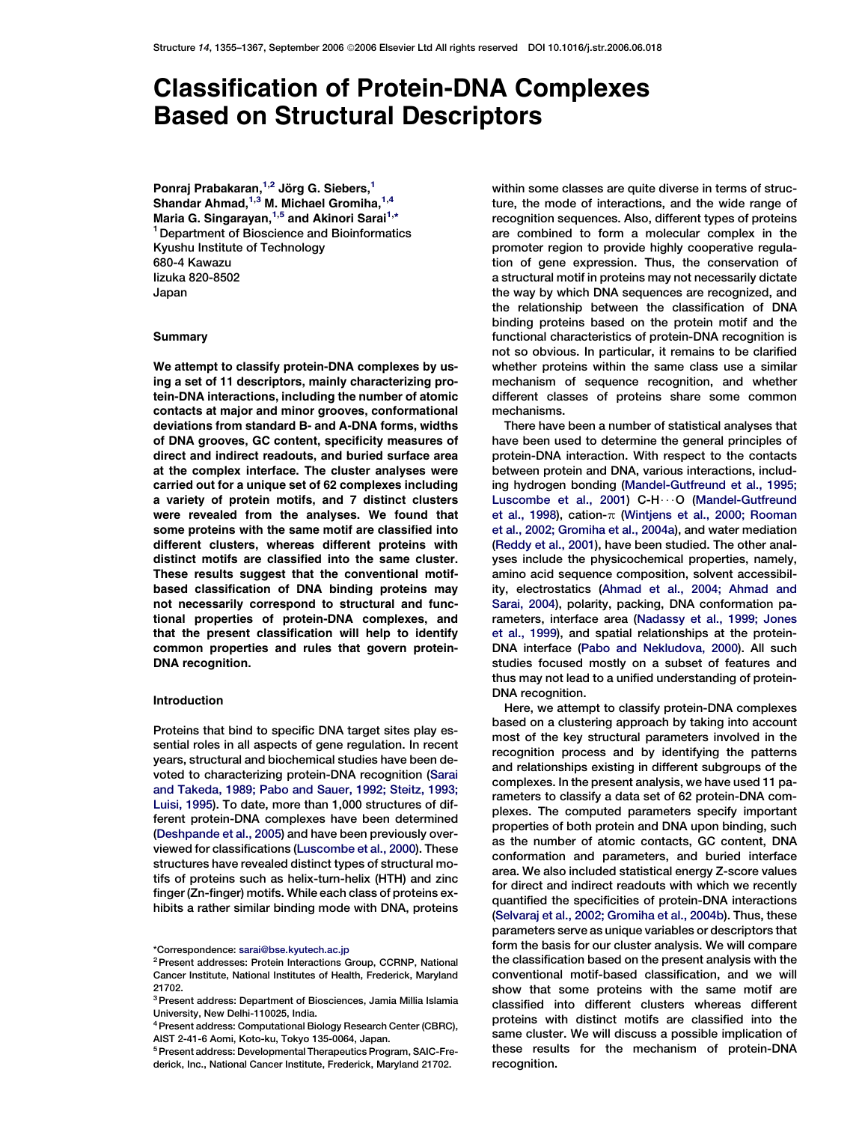# Classification of Protein-DNA Complexes Based on Structural Descriptors

Ponraj Prabakaran,<sup>1,2</sup> Jörg G. Siebers,<sup>1</sup> Shandar Ahmad,<sup>1,3</sup> M. Michael Gromina.<sup>1,4</sup> Maria G. Singarayan,<sup>1,5</sup> and Akinori Sarai<sup>1,\*</sup> <sup>1</sup> Department of Bioscience and Bioinformatics Kyushu Institute of Technology 680-4 Kawazu Iizuka 820-8502 Japan

#### **Summary**

We attempt to classify protein-DNA complexes by using a set of 11 descriptors, mainly characterizing protein-DNA interactions, including the number of atomic contacts at major and minor grooves, conformational deviations from standard B- and A-DNA forms, widths of DNA grooves, GC content, specificity measures of direct and indirect readouts, and buried surface area at the complex interface. The cluster analyses were carried out for a unique set of 62 complexes including a variety of protein motifs, and 7 distinct clusters were revealed from the analyses. We found that some proteins with the same motif are classified into different clusters, whereas different proteins with distinct motifs are classified into the same cluster. These results suggest that the conventional motifbased classification of DNA binding proteins may not necessarily correspond to structural and functional properties of protein-DNA complexes, and that the present classification will help to identify common properties and rules that govern protein-DNA recognition.

# Introduction

Proteins that bind to specific DNA target sites play essential roles in all aspects of gene regulation. In recent years, structural and biochemical studies have been devoted to characterizing protein-DNA recognition (Sarai and Takeda, 1989; Pabo and Sauer, 1992; Steitz, 1993; Luisi, 1995). To date, more than 1,000 structures of different protein-DNA complexes have been determined (Deshpande et al., 2005) and have been previously overviewed for classifications (Luscombe et al., 2000). These structures have revealed distinct types of structural motifs of proteins such as helix-turn-helix (HTH) and zinc finger (Zn-finger) motifs. While each class of proteins exhibits a rather similar binding mode with DNA, proteins

\*Correspondence: sarai@bse.kyutech.ac.jp

within some classes are quite diverse in terms of structure, the mode of interactions, and the wide range of recognition sequences. Also, different types of proteins are combined to form a molecular complex in the promoter region to provide highly cooperative regulation of gene expression. Thus, the conservation of a structural motif in proteins may not necessarily dictate the way by which DNA sequences are recognized, and the relationship between the classification of DNA binding proteins based on the protein motif and the functional characteristics of protein-DNA recognition is not so obvious. In particular, it remains to be clarified whether proteins within the same class use a similar mechanism of sequence recognition, and whether different classes of proteins share some common mechanisms.

There have been a number of statistical analyses that have been used to determine the general principles of protein-DNA interaction. With respect to the contacts between protein and DNA, various interactions, including hydrogen bonding (Mandel-Gutfreund et al., 1995; Luscombe et al., 2001) C-H $\cdots$ O (Mandel-Gutfreund et al., 1998), cation- $\pi$  (Wintjens et al., 2000; Rooman et al., 2002; Gromiha et al., 2004a), and water mediation (Reddy et al., 2001), have been studied. The other analyses include the physicochemical properties, namely, amino acid sequence composition, solvent accessibility, electrostatics (Ahmad et al., 2004; Ahmad and Sarai, 2004), polarity, packing, DNA conformation parameters, interface area (Nadassy et al., 1999; Jones et al., 1999), and spatial relationships at the protein-DNA interface (Pabo and Nekludova, 2000). All such studies focused mostly on a subset of features and thus may not lead to a unified understanding of protein-DNA recognition.

Here, we attempt to classify protein-DNA complexes based on a clustering approach by taking into account most of the key structural parameters involved in the recognition process and by identifying the patterns and relationships existing in different subgroups of the complexes. In the present analysis, we have used 11 parameters to classify a data set of 62 protein-DNA complexes. The computed parameters specify important properties of both protein and DNA upon binding, such as the number of atomic contacts, GC content, DNA conformation and parameters, and buried interface area. We also included statistical energy Z-score values for direct and indirect readouts with which we recently quantified the specificities of protein-DNA interactions (Selvaraj et al., 2002; Gromiha et al., 2004b). Thus, these parameters serve as unique variables or descriptors that form the basis for our cluster analysis. We will compare the classification based on the present analysis with the conventional motif-based classification, and we will show that some proteins with the same motif are classified into different clusters whereas different proteins with distinct motifs are classified into the same cluster. We will discuss a possible implication of these results for the mechanism of protein-DNA recognition.

<sup>2</sup>Present addresses: Protein Interactions Group, CCRNP, National Cancer Institute, National Institutes of Health, Frederick, Maryland 21702.

<sup>3</sup>Present address: Department of Biosciences, Jamia Millia Islamia University, New Delhi-110025, India.

<sup>4</sup>Present address: Computational Biology Research Center (CBRC), AIST 2-41-6 Aomi, Koto-ku, Tokyo 135-0064, Japan.

<sup>5</sup>Present address: Developmental Therapeutics Program, SAIC-Frederick, Inc., National Cancer Institute, Frederick, Maryland 21702.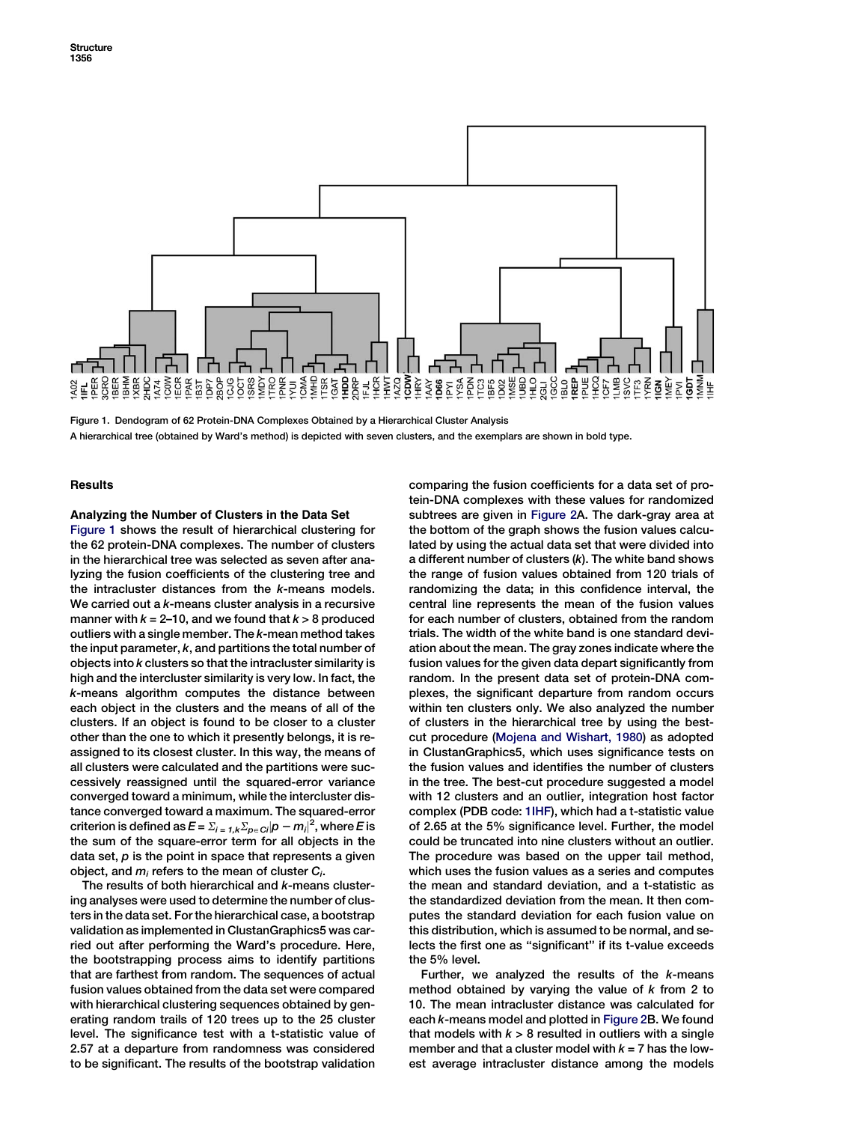



# Results

# Analyzing the Number of Clusters in the Data Set

Figure 1 shows the result of hierarchical clustering for the 62 protein-DNA complexes. The number of clusters in the hierarchical tree was selected as seven after analyzing the fusion coefficients of the clustering tree and the intracluster distances from the k-means models. We carried out a k-means cluster analysis in a recursive manner with  $k = 2-10$ , and we found that  $k > 8$  produced outliers with a single member. The k-mean method takes the input parameter,  $k$ , and partitions the total number of objects into  $k$  clusters so that the intracluster similarity is high and the intercluster similarity is very low. In fact, the k-means algorithm computes the distance between each object in the clusters and the means of all of the clusters. If an object is found to be closer to a cluster other than the one to which it presently belongs, it is reassigned to its closest cluster. In this way, the means of all clusters were calculated and the partitions were successively reassigned until the squared-error variance converged toward a minimum, while the intercluster distance converged toward a maximum. The squared-error criterion is defined as  $E$  =  $\Sigma_{i}$  <sub>= 1,k</sub> $\Sigma_{\bm{p}\in\,\bm{C}i}|\bm{p}-\bm{m}_i|^2,$  where  $E$  is the sum of the square-error term for all objects in the data set,  $p$  is the point in space that represents a given object, and  $m_i$  refers to the mean of cluster  $\boldsymbol{C_i}.$ 

The results of both hierarchical and k-means clustering analyses were used to determine the number of clusters in the data set. For the hierarchical case, a bootstrap validation as implemented in ClustanGraphics5 was carried out after performing the Ward's procedure. Here, the bootstrapping process aims to identify partitions that are farthest from random. The sequences of actual fusion values obtained from the data set were compared with hierarchical clustering sequences obtained by generating random trails of 120 trees up to the 25 cluster level. The significance test with a t-statistic value of 2.57 at a departure from randomness was considered to be significant. The results of the bootstrap validation comparing the fusion coefficients for a data set of protein-DNA complexes with these values for randomized subtrees are given in Figure 2A. The dark-gray area at the bottom of the graph shows the fusion values calculated by using the actual data set that were divided into a different number of clusters (k). The white band shows the range of fusion values obtained from 120 trials of randomizing the data; in this confidence interval, the central line represents the mean of the fusion values for each number of clusters, obtained from the random trials. The width of the white band is one standard deviation about the mean. The gray zones indicate where the fusion values for the given data depart significantly from random. In the present data set of protein-DNA complexes, the significant departure from random occurs within ten clusters only. We also analyzed the number of clusters in the hierarchical tree by using the bestcut procedure (Mojena and Wishart, 1980) as adopted in ClustanGraphics5, which uses significance tests on the fusion values and identifies the number of clusters in the tree. The best-cut procedure suggested a model with 12 clusters and an outlier, integration host factor complex (PDB code: 1IHF), which had a t-statistic value of 2.65 at the 5% significance level. Further, the model could be truncated into nine clusters without an outlier. The procedure was based on the upper tail method, which uses the fusion values as a series and computes the mean and standard deviation, and a t-statistic as the standardized deviation from the mean. It then computes the standard deviation for each fusion value on this distribution, which is assumed to be normal, and selects the first one as ''significant'' if its t-value exceeds the 5% level.

Further, we analyzed the results of the  $k$ -means method obtained by varying the value of  $k$  from 2 to 10. The mean intracluster distance was calculated for each k-means model and plotted in Figure 2B. We found that models with  $k > 8$  resulted in outliers with a single member and that a cluster model with  $k = 7$  has the lowest average intracluster distance among the models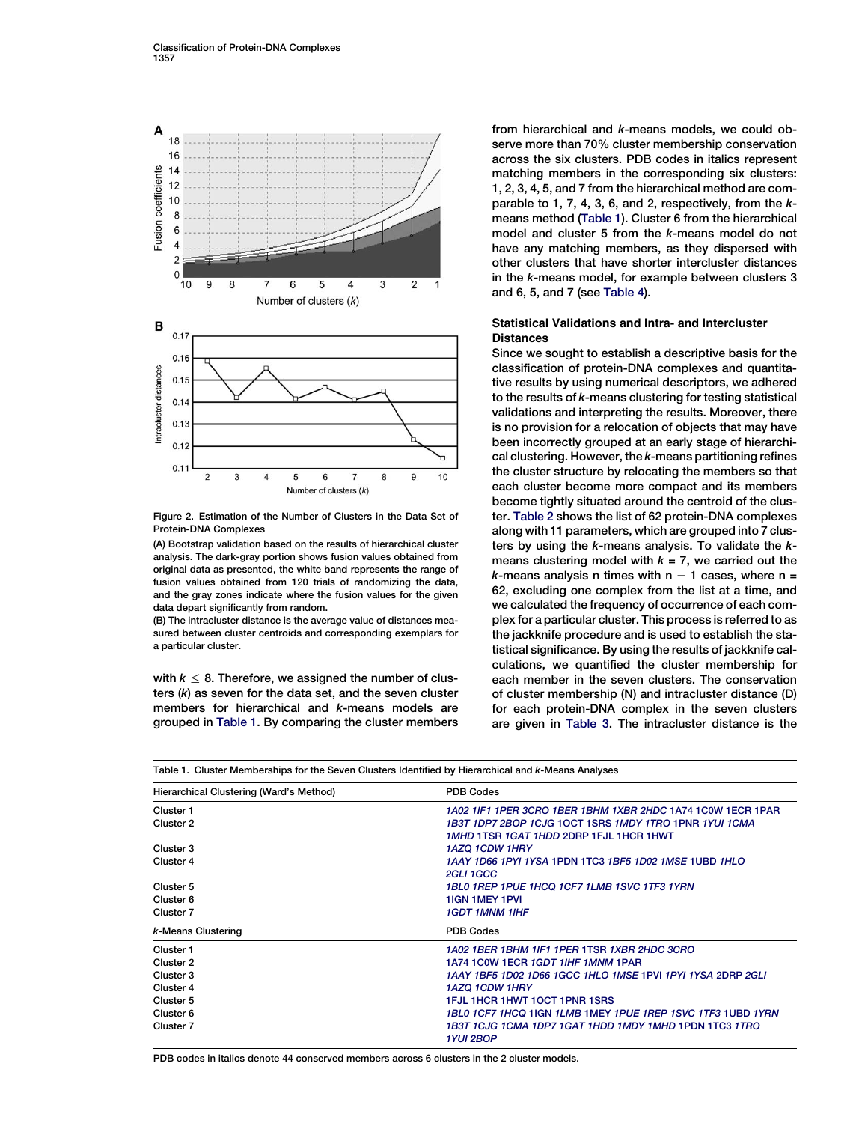



Figure 2. Estimation of the Number of Clusters in the Data Set of Protein-DNA Complexes

(A) Bootstrap validation based on the results of hierarchical cluster analysis. The dark-gray portion shows fusion values obtained from original data as presented, the white band represents the range of fusion values obtained from 120 trials of randomizing the data, and the gray zones indicate where the fusion values for the given data depart significantly from random.

(B) The intracluster distance is the average value of distances measured between cluster centroids and corresponding exemplars for a particular cluster.

with  $k \leq 8$ . Therefore, we assigned the number of clusters (k) as seven for the data set, and the seven cluster members for hierarchical and k-means models are grouped in Table 1. By comparing the cluster members from hierarchical and k-means models, we could observe more than 70% cluster membership conservation across the six clusters. PDB codes in italics represent matching members in the corresponding six clusters: 1, 2, 3, 4, 5, and 7 from the hierarchical method are comparable to 1, 7, 4, 3, 6, and 2, respectively, from the kmeans method (Table 1). Cluster 6 from the hierarchical model and cluster 5 from the k-means model do not have any matching members, as they dispersed with other clusters that have shorter intercluster distances in the k-means model, for example between clusters 3 and 6, 5, and 7 (see Table 4).

# Statistical Validations and Intra- and Intercluster **Distances**

Since we sought to establish a descriptive basis for the classification of protein-DNA complexes and quantitative results by using numerical descriptors, we adhered to the results of k-means clustering for testing statistical validations and interpreting the results. Moreover, there is no provision for a relocation of objects that may have been incorrectly grouped at an early stage of hierarchical clustering. However, the k-means partitioning refines the cluster structure by relocating the members so that each cluster become more compact and its members become tightly situated around the centroid of the cluster. Table 2 shows the list of 62 protein-DNA complexes along with 11 parameters, which are grouped into 7 clusters by using the  $k$ -means analysis. To validate the  $k$ means clustering model with  $k = 7$ , we carried out the  $k$ -means analysis n times with  $n - 1$  cases, where n = 62, excluding one complex from the list at a time, and we calculated the frequency of occurrence of each complex for a particular cluster. This process is referred to as the jackknife procedure and is used to establish the statistical significance. By using the results of jackknife calculations, we quantified the cluster membership for each member in the seven clusters. The conservation of cluster membership (N) and intracluster distance (D) for each protein-DNA complex in the seven clusters are given in Table 3. The intracluster distance is the

| Hierarchical Clustering (Ward's Method) | <b>PDB Codes</b>                                                           |
|-----------------------------------------|----------------------------------------------------------------------------|
| Cluster 1                               | 1A02 1IF1 1PER 3CRO 1BER 1BHM 1XBR 2HDC 1A74 1C0W 1ECR 1PAR                |
| Cluster 2                               | 1B3T 1DP7 2BOP 1CJG 1OCT 1SRS 1MDY 1TRO 1PNR 1YUI 1CMA                     |
|                                         | 1MHD 1TSR 1GAT 1HDD 2DRP 1FJL 1HCR 1HWT                                    |
| Cluster 3                               | <b>1AZQ 1CDW 1HRY</b>                                                      |
| Cluster 4                               | 1AAY 1D66 1PYL1YSA 1PDN 1TC3 1BF5 1D02 1MSE 1UBD 1HLO                      |
|                                         | 2GLI 1GCC                                                                  |
| Cluster 5                               | 1BL0 1REP 1PUE 1HCQ 1CF7 1LMB 1SVC 1TF3 1YRN                               |
| Cluster 6                               | <b>1IGN 1MEY 1PVI</b>                                                      |
| Cluster 7                               | <b>1GDT 1MNM 1IHF</b>                                                      |
| k-Means Clustering                      | <b>PDB Codes</b>                                                           |
| Cluster 1                               | 1A02 1BER 1BHM 1IF1 1PER 1TSR 1XBR 2HDC 3CRO                               |
| Cluster 2                               | 1A74 1C0W 1ECR 1GDT 1IHF 1MNM 1PAR                                         |
| Cluster 3                               | 1AAY 1BF5 1D02 1D66 1GCC 1HLO 1MSE 1PVI 1PYI 1YSA 2DRP 2GLI                |
| Cluster 4                               | <b>1AZO 1CDW 1HRY</b>                                                      |
| Cluster 5                               | 1FJL 1HCR 1HWT 1OCT 1PNR 1SRS                                              |
| Cluster 6                               | 1BL0 1CF7 1HCO 1IGN 1LMB 1MEY 1PUE 1REP 1SVC 1TF3 1UBD 1YRN                |
| Cluster 7                               | 1B3T 1CJG 1CMA 1DP7 1GAT 1HDD 1MDY 1MHD 1PDN 1TC3 1TRO<br><b>1YUI 2BOP</b> |

Table 1. Cluster Memberships for the Seven Clusters Identified by Hierarchical and k-Means Analyses

PDB codes in italics denote 44 conserved members across 6 clusters in the 2 cluster models.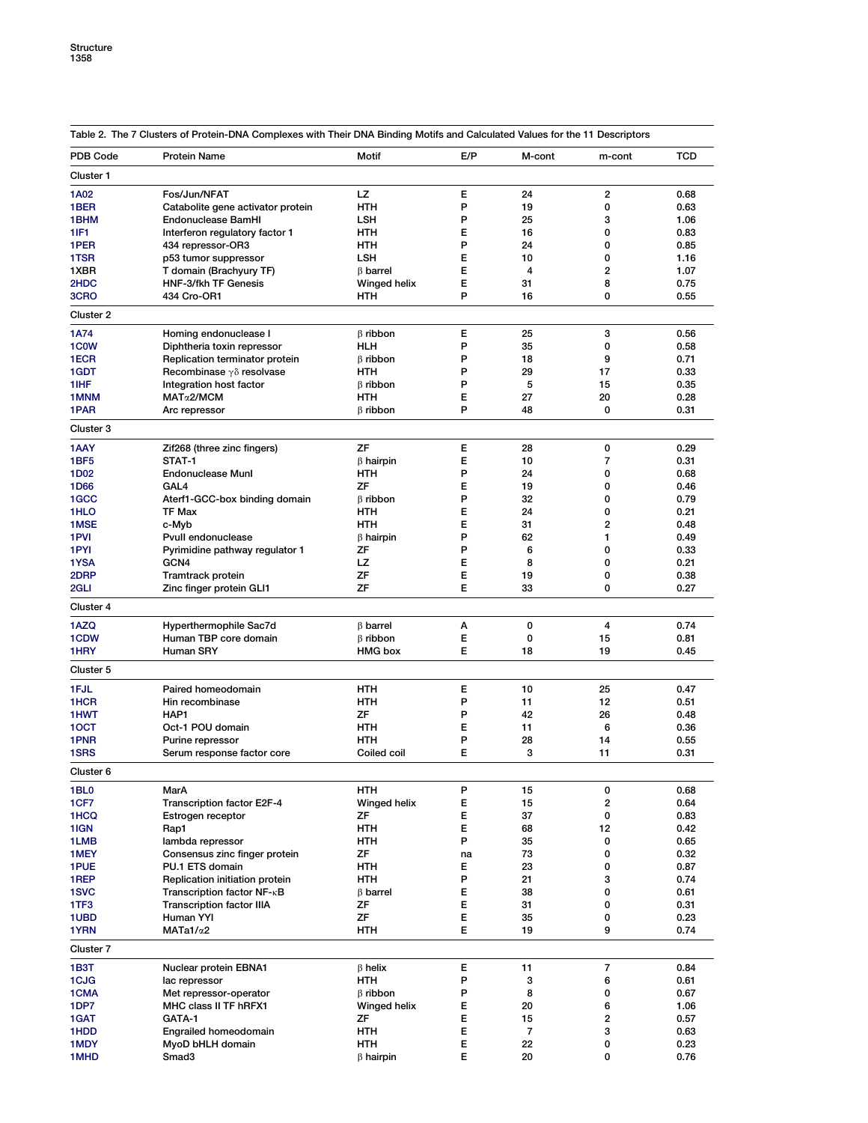|                           | Table 2. The 7 Clusters of Protein-DNA Complexes with Their DNA Binding Motifs and Calculated Values for the 11 Descriptors |                                  |        |          |                         |              |
|---------------------------|-----------------------------------------------------------------------------------------------------------------------------|----------------------------------|--------|----------|-------------------------|--------------|
| PDB Code                  | <b>Protein Name</b>                                                                                                         | Motif                            | E/P    | M-cont   | m-cont                  | TCD          |
| Cluster 1                 |                                                                                                                             |                                  |        |          |                         |              |
| 1A02                      | Fos/Jun/NFAT                                                                                                                | LZ.                              | E      | 24       | $\overline{2}$          | 0.68         |
| 1BER                      | Catabolite gene activator protein                                                                                           | <b>HTH</b>                       | P      | 19       | 0                       | 0.63         |
| 1BHM                      | Endonuclease BamHI                                                                                                          | LSH                              | P      | 25       | 3                       | 1.06         |
| 1 IF1                     | Interferon regulatory factor 1                                                                                              | HTH                              | E      | 16       | 0                       | 0.83         |
| 1PER                      | 434 repressor-OR3                                                                                                           | <b>HTH</b>                       | P      | 24       | 0                       | 0.85         |
| 1TSR                      | p53 tumor suppressor                                                                                                        | LSH                              | E      | 10       | 0                       | 1.16         |
| 1XBR<br>2HDC              | T domain (Brachyury TF)<br><b>HNF-3/fkh TF Genesis</b>                                                                      | <b>B</b> barrel                  | Е<br>E | 4<br>31  | 2<br>8                  | 1.07<br>0.75 |
| 3CRO                      | 434 Cro-OR1                                                                                                                 | Winged helix<br>HTH              | P      | 16       | 0                       | 0.55         |
|                           |                                                                                                                             |                                  |        |          |                         |              |
| Cluster 2                 |                                                                                                                             |                                  |        |          |                         |              |
| 1A74                      | Homing endonuclease I                                                                                                       | $\beta$ ribbon                   | Е      | 25       | 3                       | 0.56         |
| 1C <sub>0</sub> W<br>1ECR | Diphtheria toxin repressor<br>Replication terminator protein                                                                | HLH<br>$\beta$ ribbon            | P<br>P | 35<br>18 | 0<br>9                  | 0.58<br>0.71 |
| 1GDT                      | Recombinase $\gamma\delta$ resolvase                                                                                        | HTH                              | P      | 29       | 17                      | 0.33         |
| 1 IHF                     | Integration host factor                                                                                                     | $\beta$ ribbon                   | P      | 5        | 15                      | 0.35         |
| 1 MNM                     | MATα2/MCM                                                                                                                   | HTH                              | E      | 27       | 20                      | 0.28         |
| 1PAR                      | Arc repressor                                                                                                               | $\beta$ ribbon                   | P      | 48       | 0                       | 0.31         |
| Cluster 3                 |                                                                                                                             |                                  |        |          |                         |              |
| 1AAY                      | Zif268 (three zinc fingers)                                                                                                 | ΖF                               | Е      | 28       | 0                       | 0.29         |
| 1BF5                      | STAT-1                                                                                                                      | $\beta$ hairpin                  | Е      | 10       | 7                       | 0.31         |
| 1D02                      | <b>Endonuclease Munl</b>                                                                                                    | HTH                              | P      | 24       | 0                       | 0.68         |
| 1D66                      | GAL4                                                                                                                        | ΖF                               | E      | 19       | 0                       | 0.46         |
| 1GCC                      | Aterf1-GCC-box binding domain                                                                                               | $\beta$ ribbon                   | P      | 32       | 0                       | 0.79         |
| 1HLO                      | TF Max                                                                                                                      | HTH                              | Е      | 24       | 0                       | 0.21         |
| 1MSE                      | c-Myb                                                                                                                       | HTH                              | E      | 31       | 2                       | 0.48         |
| 1PVI                      | <b>Pvull endonuclease</b>                                                                                                   | $\beta$ hairpin                  | P      | 62       | 1                       | 0.49         |
| 1PYI                      | Pyrimidine pathway regulator 1                                                                                              | ΖF                               | P      | 6        | 0                       | 0.33         |
| 1YSA                      | GCN4                                                                                                                        | LZ                               | E      | 8        | 0                       | 0.21         |
| 2DRP<br>2GLI              | Tramtrack protein<br>Zinc finger protein GLI1                                                                               | ZF<br>ZF                         | E<br>E | 19<br>33 | 0<br>0                  | 0.38<br>0.27 |
|                           |                                                                                                                             |                                  |        |          |                         |              |
| Cluster 4                 |                                                                                                                             |                                  |        |          |                         |              |
| 1AZQ                      | Hyperthermophile Sac7d<br>Human TBP core domain                                                                             | $\beta$ barrel                   | А      | 0<br>0   | 4                       | 0.74         |
| 1CDW<br>1HRY              | Human SRY                                                                                                                   | $\beta$ ribbon<br><b>HMG</b> box | Е<br>E | 18       | 15<br>19                | 0.81<br>0.45 |
|                           |                                                                                                                             |                                  |        |          |                         |              |
| Cluster 5                 |                                                                                                                             |                                  |        |          |                         |              |
| 1FJL                      | Paired homeodomain                                                                                                          | <b>HTH</b>                       | E      | 10       | 25                      | 0.47         |
| 1HCR                      | Hin recombinase<br>HAP1                                                                                                     | HTH<br>ZF                        | P<br>P | 11<br>42 | 12                      | 0.51         |
| 1HWT<br>10CT              | Oct-1 POU domain                                                                                                            | HTH                              | E      | 11       | 26<br>6                 | 0.48<br>0.36 |
| 1PNR                      | Purine repressor                                                                                                            | HTH                              | P      | 28       | 14                      | 0.55         |
| 1SRS                      | Serum response factor core                                                                                                  | Coiled coil                      | Е      | 3        | 11                      | 0.31         |
| Cluster 6                 |                                                                                                                             |                                  |        |          |                         |              |
| 1BL <sub>0</sub>          | MarA                                                                                                                        | <b>HTH</b>                       | P      | 15       | 0                       | 0.68         |
| 1CF7                      | Transcription factor E2F-4                                                                                                  | Winged helix                     | E      | 15       | $\overline{\mathbf{c}}$ | 0.64         |
| 1HCQ                      | Estrogen receptor                                                                                                           | ΖF                               | E      | 37       | 0                       | 0.83         |
| 1IGN                      | Rap1                                                                                                                        | HTH                              | E      | 68       | 12                      | 0.42         |
| 1LMB                      | lambda repressor                                                                                                            | HTH                              | P      | 35       | 0                       | 0.65         |
| 1MEY                      | Consensus zinc finger protein                                                                                               | ZF                               | na     | 73       | 0                       | 0.32         |
| 1PUE                      | PU.1 ETS domain                                                                                                             | HTH                              | Е      | 23       | 0                       | 0.87         |
| 1REP                      | Replication initiation protein                                                                                              | HTH                              | P      | 21       | 3                       | 0.74         |
| 1SVC                      | Transcription factor NF-KB                                                                                                  | $\beta$ barrel                   | E      | 38       | 0                       | 0.61         |
| 1TF3                      | <b>Transcription factor IIIA</b>                                                                                            | ZF                               | E      | 31       | 0                       | 0.31         |
| 1UBD                      | Human YYI                                                                                                                   | ZF                               | E.     | 35       | 0                       | 0.23         |
| 1YRN                      | $MATa1/\alpha2$                                                                                                             | HTH                              | E.     | 19       | 9                       | 0.74         |
| Cluster 7                 |                                                                                                                             |                                  |        |          |                         |              |
| 1B3T<br>1CJG              | Nuclear protein EBNA1<br>lac repressor                                                                                      | $\beta$ helix<br><b>HTH</b>      | E<br>P | 11<br>3  | 7<br>6                  | 0.84<br>0.61 |
| 1CMA                      | Met repressor-operator                                                                                                      | $\beta$ ribbon                   | P      | 8        | 0                       | 0.67         |
| 1DP7                      | MHC class II TF hRFX1                                                                                                       | Winged helix                     | E      | 20       | 6                       | 1.06         |
| 1GAT                      | GATA-1                                                                                                                      | ZF                               | E      | 15       | 2                       | 0.57         |
| 1HDD                      | <b>Engrailed homeodomain</b>                                                                                                | <b>HTH</b>                       | E      | 7        | 3                       | 0.63         |
| 1MDY                      | MyoD bHLH domain                                                                                                            | <b>HTH</b>                       | E      | 22       | 0                       | 0.23         |
| 1MHD                      | Smad3                                                                                                                       | $\beta$ hairpin                  | E      | 20       | 0                       | 0.76         |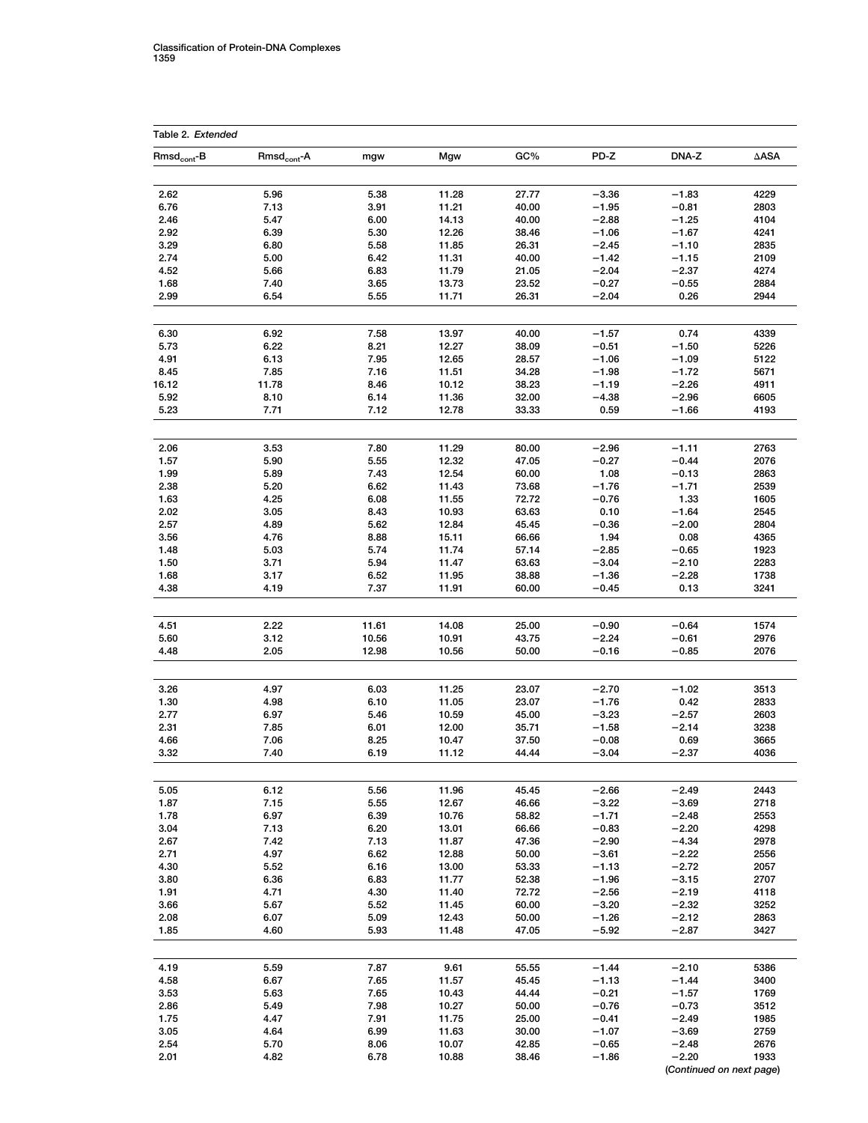|                   | Table 2. Extended |              |                |                |                    |                    |              |  |  |  |  |
|-------------------|-------------------|--------------|----------------|----------------|--------------------|--------------------|--------------|--|--|--|--|
| $Rmsd_{cont} - B$ | $Rmsd_{cont}$ -A  |              | Mgw            | GC%            | PD-Z               | DNA-Z              | ∆ASA         |  |  |  |  |
|                   |                   | mgw          |                |                |                    |                    |              |  |  |  |  |
|                   |                   |              |                |                |                    |                    |              |  |  |  |  |
| 2.62              | 5.96              | 5.38         | 11.28          | 27.77          | $-3.36$            | $-1.83$            | 4229         |  |  |  |  |
| 6.76              | 7.13              | 3.91         | 11.21          | 40.00          | $-1.95$            | $-0.81$            | 2803         |  |  |  |  |
| 2.46              | 5.47              | 6.00         | 14.13          | 40.00          | $-2.88$            | $-1.25$            | 4104         |  |  |  |  |
| 2.92<br>3.29      | 6.39<br>6.80      | 5.30<br>5.58 | 12.26<br>11.85 | 38.46<br>26.31 | $-1.06$<br>$-2.45$ | $-1.67$<br>$-1.10$ | 4241<br>2835 |  |  |  |  |
| 2.74              | 5.00              | 6.42         | 11.31          | 40.00          | $-1.42$            | $-1.15$            | 2109         |  |  |  |  |
| 4.52              | 5.66              | 6.83         | 11.79          | 21.05          | $-2.04$            | $-2.37$            | 4274         |  |  |  |  |
| 1.68              | 7.40              | 3.65         | 13.73          | 23.52          | $-0.27$            | $-0.55$            | 2884         |  |  |  |  |
| 2.99              | 6.54              | 5.55         | 11.71          | 26.31          | $-2.04$            | 0.26               | 2944         |  |  |  |  |
|                   |                   |              |                |                |                    |                    |              |  |  |  |  |
| 6.30              | 6.92              | 7.58         | 13.97          | 40.00          | $-1.57$            | 0.74               | 4339         |  |  |  |  |
| 5.73              | 6.22              | 8.21         | 12.27          | 38.09          | $-0.51$            | $-1.50$            | 5226         |  |  |  |  |
| 4.91              | 6.13              | 7.95         | 12.65          | 28.57          | $-1.06$            | $-1.09$            | 5122         |  |  |  |  |
| 8.45              | 7.85              | 7.16         | 11.51          | 34.28          | $-1.98$            | $-1.72$            | 5671         |  |  |  |  |
| 16.12             | 11.78             | 8.46         | 10.12          | 38.23          | $-1.19$            | $-2.26$            | 4911         |  |  |  |  |
| 5.92              | 8.10              | 6.14         | 11.36          | 32.00          | $-4.38$            | $-2.96$            | 6605         |  |  |  |  |
| 5.23              | 7.71              | 7.12         | 12.78          | 33.33          | 0.59               | $-1.66$            | 4193         |  |  |  |  |
|                   |                   |              |                |                |                    |                    |              |  |  |  |  |
| 2.06              | 3.53              | 7.80         | 11.29          | 80.00          | $-2.96$            | $-1.11$            | 2763         |  |  |  |  |
| 1.57              | 5.90              | 5.55         | 12.32          | 47.05          | $-0.27$            | $-0.44$            | 2076         |  |  |  |  |
| 1.99              | 5.89              | 7.43         | 12.54          | 60.00          | 1.08               | $-0.13$            | 2863         |  |  |  |  |
| 2.38              | 5.20              | 6.62         | 11.43          | 73.68          | $-1.76$            | $-1.71$            | 2539         |  |  |  |  |
| 1.63              | 4.25              | 6.08         | 11.55          | 72.72          | $-0.76$            | 1.33               | 1605         |  |  |  |  |
| 2.02              | 3.05              | 8.43         | 10.93          | 63.63          | 0.10               | $-1.64$            | 2545         |  |  |  |  |
| 2.57              | 4.89              | 5.62         | 12.84          | 45.45          | $-0.36$            | $-2.00$            | 2804         |  |  |  |  |
| 3.56              | 4.76              | 8.88         | 15.11          | 66.66          | 1.94               | 0.08               | 4365         |  |  |  |  |
| 1.48              | 5.03              | 5.74         | 11.74          | 57.14          | $-2.85$            | $-0.65$            | 1923         |  |  |  |  |
| 1.50              | 3.71              | 5.94         | 11.47          | 63.63          | $-3.04$            | $-2.10$            | 2283         |  |  |  |  |
| 1.68              | 3.17              | 6.52         | 11.95          | 38.88          | $-1.36$            | $-2.28$            | 1738         |  |  |  |  |
| 4.38              | 4.19              | 7.37         | 11.91          | 60.00          | $-0.45$            | 0.13               | 3241         |  |  |  |  |
|                   |                   |              |                |                |                    |                    |              |  |  |  |  |
| 4.51              | 2.22              | 11.61        | 14.08          | 25.00          | $-0.90$            | $-0.64$            | 1574         |  |  |  |  |
| 5.60              | 3.12              | 10.56        | 10.91          | 43.75          | $-2.24$            | $-0.61$            | 2976         |  |  |  |  |
| 4.48              | 2.05              | 12.98        | 10.56          | 50.00          | -0.16              | $-0.85$            | 2076         |  |  |  |  |
|                   |                   |              |                |                |                    |                    |              |  |  |  |  |
| 3.26              | 4.97              | 6.03         | 11.25          | 23.07          | $-2.70$            | $-1.02$            | 3513         |  |  |  |  |
| 1.30              | 4.98              | 6.10         | 11.05          | 23.07          | $-1.76$            | 0.42               | 2833         |  |  |  |  |
| 2.77              | 6.97              | 5.46         | 10.59          | 45.00          | $-3.23$            | $-2.57$            | 2603         |  |  |  |  |
| 2.31              | 7.85              | 6.01         | 12.00          | 35.71          | $-1.58$            | $-2.14$            | 3238         |  |  |  |  |
| 4.66              | 7.06              | 8.25         | 10.47          | 37.50          | $-0.08$            | 0.69               | 3665         |  |  |  |  |
| 3.32              | 7.40              | 6.19         | 11.12          | 44.44          | $-3.04$            | $-2.37$            | 4036         |  |  |  |  |
|                   |                   |              |                |                |                    |                    |              |  |  |  |  |
| 5.05              | 6.12              | 5.56         | 11.96          | 45.45          | $-2.66$            | $-2.49$            | 2443         |  |  |  |  |
| 1.87              | 7.15              | 5.55         | 12.67          | 46.66          | $-3.22$            | $-3.69$            | 2718         |  |  |  |  |
| 1.78              | 6.97              | 6.39         | 10.76          | 58.82          | $-1.71$            | $-2.48$            | 2553         |  |  |  |  |
| 3.04              | 7.13              | 6.20         | 13.01          | 66.66          | $-0.83$            | $-2.20$            | 4298         |  |  |  |  |
| 2.67              | 7.42              | 7.13         | 11.87          | 47.36          | $-2.90$            | $-4.34$            | 2978         |  |  |  |  |
| 2.71              | 4.97              | 6.62         | 12.88          | 50.00          | $-3.61$            | $-2.22$            | 2556         |  |  |  |  |
| 4.30              | 5.52              | 6.16         | 13.00          | 53.33          | $-1.13$            | $-2.72$            | 2057         |  |  |  |  |
| 3.80              | 6.36              | 6.83         | 11.77          | 52.38          | $-1.96$            | $-3.15$            | 2707         |  |  |  |  |
| 1.91              | 4.71              | 4.30         | 11.40          | 72.72          | $-2.56$            | $-2.19$            | 4118         |  |  |  |  |
| 3.66              | 5.67              | 5.52         | 11.45          | 60.00          | $-3.20$            | $-2.32$            | 3252         |  |  |  |  |
| 2.08              | 6.07              | 5.09         | 12.43          | 50.00          | -1.26              | $-2.12$            | 2863         |  |  |  |  |
| 1.85              | 4.60              | 5.93         | 11.48          | 47.05          | $-5.92$            | $-2.87$            | 3427         |  |  |  |  |
|                   |                   |              |                |                |                    |                    |              |  |  |  |  |
| 4.19<br>4.58      | 5.59<br>6.67      | 7.87<br>7.65 | 9.61<br>11.57  | 55.55<br>45.45 | $-1.44$<br>$-1.13$ | $-2.10$<br>$-1.44$ | 5386<br>3400 |  |  |  |  |
| 3.53              | 5.63              | 7.65         | 10.43          | 44.44          | $-0.21$            | $-1.57$            | 1769         |  |  |  |  |
| 2.86              | 5.49              | 7.98         | 10.27          | 50.00          | $-0.76$            | $-0.73$            | 3512         |  |  |  |  |
| 1.75              | 4.47              | 7.91         | 11.75          | 25.00          | $-0.41$            | $-2.49$            | 1985         |  |  |  |  |
| 3.05              | 4.64              | 6.99         | 11.63          | 30.00          | $-1.07$            | $-3.69$            | 2759         |  |  |  |  |
| 2.54              | 5.70              | 8.06         | 10.07          | 42.85          | $-0.65$            | $-2.48$            | 2676         |  |  |  |  |
| 2.01              | 4.82              | 6.78         | 10.88          | 38.46          | $-1.86$            | $-2.20$            | 1933         |  |  |  |  |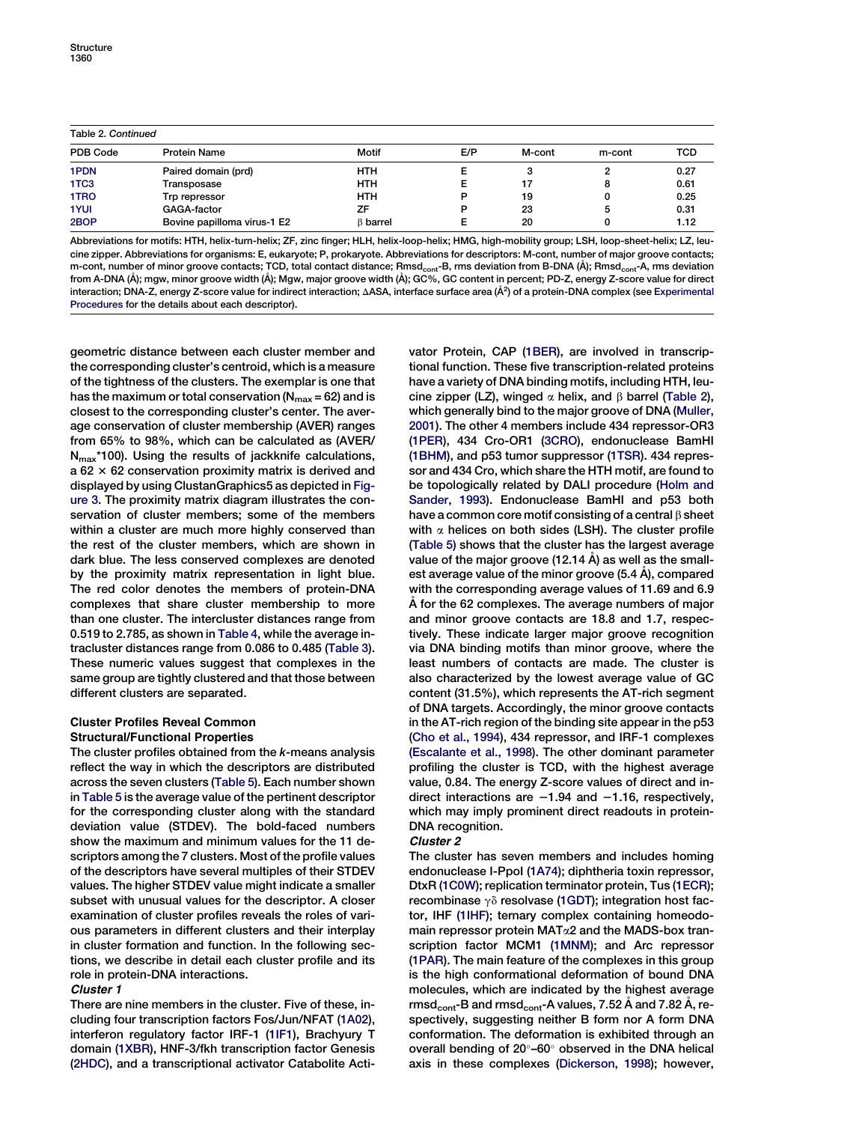|                  | Table 2. Continued          |                 |     |        |        |      |  |  |  |  |  |
|------------------|-----------------------------|-----------------|-----|--------|--------|------|--|--|--|--|--|
| PDB Code         | <b>Protein Name</b>         | Motif           | E/P | M-cont | m-cont | TCD  |  |  |  |  |  |
| 1PDN             | Paired domain (prd)         | <b>HTH</b>      |     |        |        | 0.27 |  |  |  |  |  |
| 1TC <sub>3</sub> | Transposase                 | <b>HTH</b>      | Е   | 17     |        | 0.61 |  |  |  |  |  |
| 1TRO             | Trp repressor               | <b>HTH</b>      | D   | 19     |        | 0.25 |  |  |  |  |  |
| 1YUI             | GAGA-factor                 | ZF              | D   | 23     | 5      | 0.31 |  |  |  |  |  |
| 2BOP             | Bovine papilloma virus-1 E2 | <b>B</b> barrel |     | 20     |        | 1.12 |  |  |  |  |  |

Abbreviations for motifs: HTH, helix-turn-helix; ZF, zinc finger; HLH, helix-loop-helix; HMG, high-mobility group; LSH, loop-sheet-helix; LZ, leucine zipper. Abbreviations for organisms: E, eukaryote; P, prokaryote. Abbreviations for descriptors: M-cont, number of major groove contacts; m-cont, number of minor groove contacts; TCD, total contact distance; Rmsd<sub>cont</sub>-B, rms deviation from B-DNA (Å); Rmsd<sub>cont</sub>-A, rms deviation from A-DNA (Å); mgw, minor groove width (Å); Mgw, major groove width (Å); GC%, GC content in percent; PD-Z, energy Z-score value for direct interaction; DNA-Z, energy Z-score value for indirect interaction;  $\Delta$ ASA, interface surface area (Å<sup>2</sup>) of a protein-DNA complex (see Experimental Procedures for the details about each descriptor).

geometric distance between each cluster member and the corresponding cluster's centroid, which is a measure of the tightness of the clusters. The exemplar is one that has the maximum or total conservation ( $N_{\text{max}}$  = 62) and is closest to the corresponding cluster's center. The average conservation of cluster membership (AVER) ranges from 65% to 98%, which can be calculated as (AVER/ N<sub>max</sub>\*100). Using the results of jackknife calculations, a  $62 \times 62$  conservation proximity matrix is derived and displayed by using ClustanGraphics5 as depicted in Figure 3. The proximity matrix diagram illustrates the conservation of cluster members; some of the members within a cluster are much more highly conserved than the rest of the cluster members, which are shown in dark blue. The less conserved complexes are denoted by the proximity matrix representation in light blue. The red color denotes the members of protein-DNA complexes that share cluster membership to more than one cluster. The intercluster distances range from 0.519 to 2.785, as shown in Table 4, while the average intracluster distances range from 0.086 to 0.485 (Table 3). These numeric values suggest that complexes in the same group are tightly clustered and that those between different clusters are separated.

# Cluster Profiles Reveal Common Structural/Functional Properties

The cluster profiles obtained from the k-means analysis reflect the way in which the descriptors are distributed across the seven clusters (Table 5). Each number shown in Table 5 is the average value of the pertinent descriptor for the corresponding cluster along with the standard deviation value (STDEV). The bold-faced numbers show the maximum and minimum values for the 11 descriptors among the 7 clusters. Most of the profile values of the descriptors have several multiples of their STDEV values. The higher STDEV value might indicate a smaller subset with unusual values for the descriptor. A closer examination of cluster profiles reveals the roles of various parameters in different clusters and their interplay in cluster formation and function. In the following sections, we describe in detail each cluster profile and its role in protein-DNA interactions.

# Cluster 1

There are nine members in the cluster. Five of these, including four transcription factors Fos/Jun/NFAT (1A02), interferon regulatory factor IRF-1 (1IF1), Brachyury T domain (1XBR), HNF-3/fkh transcription factor Genesis (2HDC), and a transcriptional activator Catabolite Acti-

vator Protein, CAP (1BER), are involved in transcriptional function. These five transcription-related proteins have a variety of DNA binding motifs, including HTH, leucine zipper (LZ), winged  $\alpha$  helix, and  $\beta$  barrel (Table 2), which generally bind to the major groove of DNA (Muller, 2001). The other 4 members include 434 repressor-OR3 (1PER), 434 Cro-OR1 (3CRO), endonuclease BamHI (1BHM), and p53 tumor suppressor (1TSR). 434 repressor and 434 Cro, which share the HTH motif, are found to be topologically related by DALI procedure (Holm and Sander, 1993). Endonuclease BamHI and p53 both have a common core motif consisting of a central  $\beta$  sheet with  $\alpha$  helices on both sides (LSH). The cluster profile (Table 5) shows that the cluster has the largest average value of the major groove (12.14 Å) as well as the smallest average value of the minor groove (5.4 Å), compared with the corresponding average values of 11.69 and 6.9 Å for the 62 complexes. The average numbers of major and minor groove contacts are 18.8 and 1.7, respectively. These indicate larger major groove recognition via DNA binding motifs than minor groove, where the least numbers of contacts are made. The cluster is also characterized by the lowest average value of GC content (31.5%), which represents the AT-rich segment of DNA targets. Accordingly, the minor groove contacts in the AT-rich region of the binding site appear in the p53 (Cho et al., 1994), 434 repressor, and IRF-1 complexes (Escalante et al., 1998). The other dominant parameter profiling the cluster is TCD, with the highest average value, 0.84. The energy Z-score values of direct and indirect interactions are  $-1.94$  and  $-1.16$ , respectively, which may imply prominent direct readouts in protein-DNA recognition.

# Cluster 2

The cluster has seven members and includes homing endonuclease I-PpoI (1A74); diphtheria toxin repressor, DtxR (1C0W); replication terminator protein, Tus (1ECR); recombinase  $\gamma\delta$  resolvase (1GDT); integration host factor, IHF (1IHF); ternary complex containing homeodomain repressor protein  $MAT<sub>α</sub>2$  and the MADS-box transcription factor MCM1 (1MNM); and Arc repressor (1PAR). The main feature of the complexes in this group is the high conformational deformation of bound DNA molecules, which are indicated by the highest average  $\mathsf{rmsd}_\mathsf{cont}\text{-}\mathsf{B}$  and  $\mathsf{rmsd}_\mathsf{cont}\text{-}\mathsf{A}$  values, 7.52 Å and 7.82 Å, respectively, suggesting neither B form nor A form DNA conformation. The deformation is exhibited through an overall bending of 20°-60° observed in the DNA helical axis in these complexes (Dickerson, 1998); however,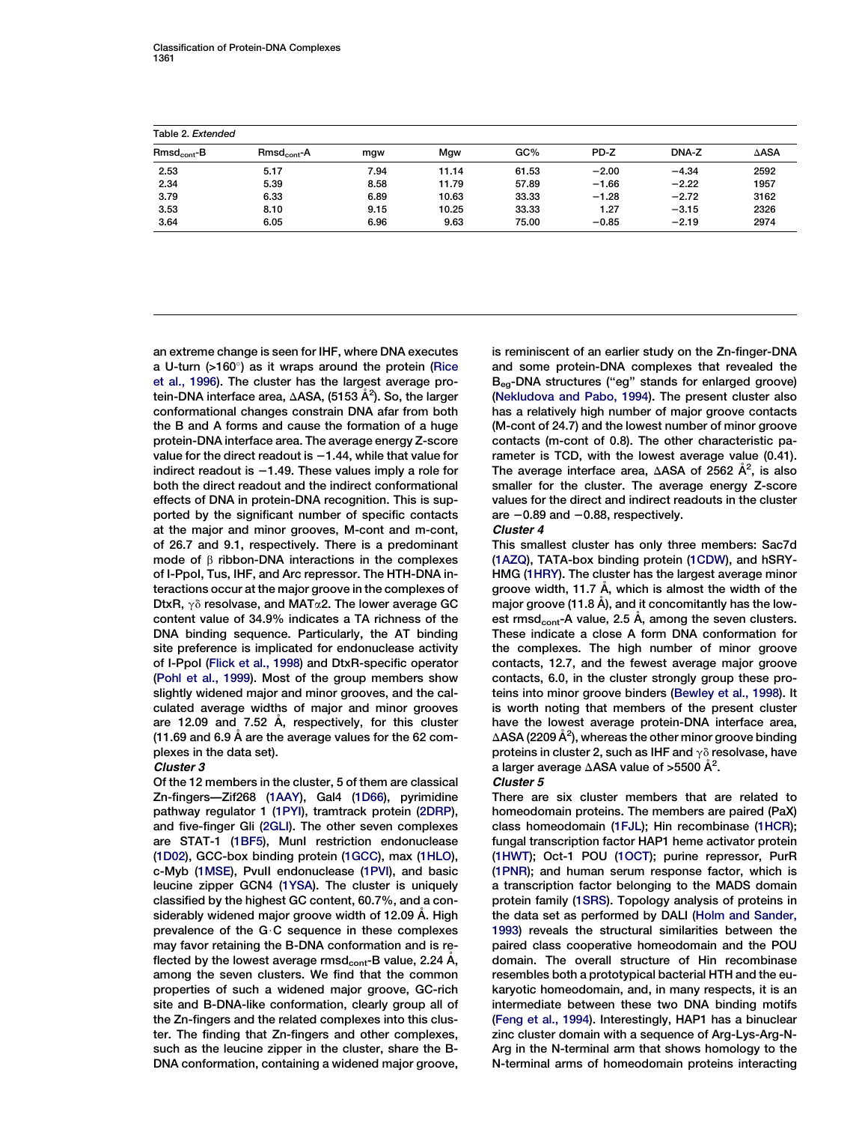| Table 2. Extended |                  |      |       |       |         |         |                 |  |  |  |  |
|-------------------|------------------|------|-------|-------|---------|---------|-----------------|--|--|--|--|
| $Rmsd_{cont} - B$ | $Rmsd_{cont}$ -A | mgw  | Maw   | GC%   | PD-Z    | DNA-Z   | $\triangle$ ASA |  |  |  |  |
| 2.53              | 5.17             | 7.94 | 11.14 | 61.53 | $-2.00$ | $-4.34$ | 2592            |  |  |  |  |
| 2.34              | 5.39             | 8.58 | 11.79 | 57.89 | $-1.66$ | $-2.22$ | 1957            |  |  |  |  |
| 3.79              | 6.33             | 6.89 | 10.63 | 33.33 | $-1.28$ | $-2.72$ | 3162            |  |  |  |  |
| 3.53              | 8.10             | 9.15 | 10.25 | 33.33 | 1.27    | $-3.15$ | 2326            |  |  |  |  |
| 3.64              | 6.05             | 6.96 | 9.63  | 75.00 | $-0.85$ | $-2.19$ | 2974            |  |  |  |  |

an extreme change is seen for IHF, where DNA executes a U-turn (>160 ) as it wraps around the protein (Rice et al., 1996). The cluster has the largest average protein-DNA interface area, ∆ASA, (5153 Å<sup>2</sup>). So, the larger conformational changes constrain DNA afar from both the B and A forms and cause the formation of a huge protein-DNA interface area. The average energy Z-score value for the direct readout is  $-1.44$ , while that value for indirect readout is  $-1.49$ . These values imply a role for both the direct readout and the indirect conformational effects of DNA in protein-DNA recognition. This is supported by the significant number of specific contacts at the major and minor grooves, M-cont and m-cont, of 26.7 and 9.1, respectively. There is a predominant mode of  $\beta$  ribbon-DNA interactions in the complexes of I-PpoI, Tus, IHF, and Arc repressor. The HTH-DNA interactions occur at the major groove in the complexes of DtxR,  $\gamma\delta$  resolvase, and MAT $\alpha$ 2. The lower average GC content value of 34.9% indicates a TA richness of the DNA binding sequence. Particularly, the AT binding site preference is implicated for endonuclease activity of I-PpoI (Flick et al., 1998) and DtxR-specific operator (Pohl et al., 1999). Most of the group members show slightly widened major and minor grooves, and the calculated average widths of major and minor grooves are 12.09 and 7.52 Å, respectively, for this cluster  $(11.69$  and 6.9 A are the average values for the 62 complexes in the data set).

# Cluster 3

Of the 12 members in the cluster, 5 of them are classical Zn-fingers—Zif268 (1AAY), Gal4 (1D66), pyrimidine pathway regulator 1 (1PYI), tramtrack protein (2DRP), and five-finger Gli (2GLI). The other seven complexes are STAT-1 (1BF5), MunI restriction endonuclease (1D02), GCC-box binding protein (1GCC), max (1HLO), c-Myb (1MSE), PvuII endonuclease (1PVI), and basic leucine zipper GCN4 (1YSA). The cluster is uniquely classified by the highest GC content, 60.7%, and a considerably widened major groove width of 12.09 Å. High prevalence of the  $G \cdot C$  sequence in these complexes may favor retaining the B-DNA conformation and is reflected by the lowest average rmsd $_{\rm cont}$ -B value, 2.24 Å, among the seven clusters. We find that the common properties of such a widened major groove, GC-rich site and B-DNA-like conformation, clearly group all of the Zn-fingers and the related complexes into this cluster. The finding that Zn-fingers and other complexes, such as the leucine zipper in the cluster, share the B-DNA conformation, containing a widened major groove, is reminiscent of an earlier study on the Zn-finger-DNA and some protein-DNA complexes that revealed the Beg-DNA structures (''eg'' stands for enlarged groove) (Nekludova and Pabo, 1994). The present cluster also has a relatively high number of major groove contacts (M-cont of 24.7) and the lowest number of minor groove contacts (m-cont of 0.8). The other characteristic parameter is TCD, with the lowest average value (0.41). The average interface area,  $\triangle$ ASA of 2562  $\AA$ <sup>2</sup>, is also smaller for the cluster. The average energy Z-score values for the direct and indirect readouts in the cluster are  $-0.89$  and  $-0.88$ , respectively.

#### Cluster 4

This smallest cluster has only three members: Sac7d (1AZQ), TATA-box binding protein (1CDW), and hSRY-HMG (1HRY). The cluster has the largest average minor groove width, 11.7 Å, which is almost the width of the  $m$ ajor groove (11.8 Å), and it concomitantly has the lowest rmsd<sub>cont</sub>-A value, 2.5 Å, among the seven clusters. These indicate a close A form DNA conformation for the complexes. The high number of minor groove contacts, 12.7, and the fewest average major groove contacts, 6.0, in the cluster strongly group these proteins into minor groove binders (Bewley et al., 1998). It is worth noting that members of the present cluster have the lowest average protein-DNA interface area,  $\Delta$ ASA (2209 Å $^2$ ), whereas the other minor groove binding proteins in cluster 2, such as IHF and  $\gamma\delta$  resolvase, have a larger average  $\triangle$ ASA value of >5500  $\AA$ <sup>2</sup>.

### Cluster 5

There are six cluster members that are related to homeodomain proteins. The members are paired (PaX) class homeodomain (1FJL); Hin recombinase (1HCR); fungal transcription factor HAP1 heme activator protein (1HWT); Oct-1 POU (1OCT); purine repressor, PurR (1PNR); and human serum response factor, which is a transcription factor belonging to the MADS domain protein family (1SRS). Topology analysis of proteins in the data set as performed by DALI (Holm and Sander, 1993) reveals the structural similarities between the paired class cooperative homeodomain and the POU domain. The overall structure of Hin recombinase resembles both a prototypical bacterial HTH and the eukaryotic homeodomain, and, in many respects, it is an intermediate between these two DNA binding motifs (Feng et al., 1994). Interestingly, HAP1 has a binuclear zinc cluster domain with a sequence of Arg-Lys-Arg-N-Arg in the N-terminal arm that shows homology to the N-terminal arms of homeodomain proteins interacting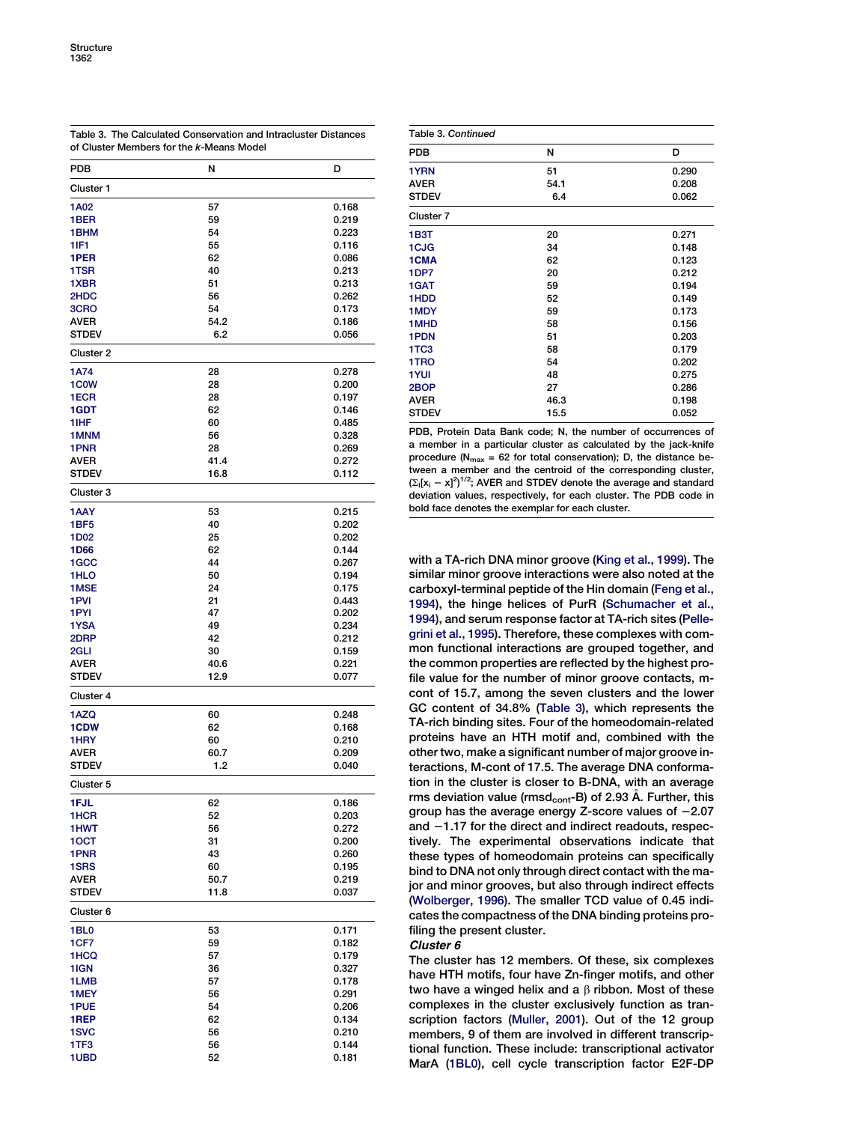| of Cluster Members for the k-Means Model |              |                |
|------------------------------------------|--------------|----------------|
| PDB                                      | Ν            | D              |
| Cluster 1                                |              |                |
| 1A02                                     | 57           | 0.168          |
| 1BER                                     | 59           | 0.219          |
| 1BHM                                     | 54           | 0.223          |
| 1 I F 1                                  | 55           | 0.116          |
| 1PER                                     | 62           | 0.086          |
| 1TSR<br>1XBR                             | 40           | 0.213          |
| 2HDC                                     | 51<br>56     | 0.213<br>0.262 |
| 3CRO                                     | 54           | 0.173          |
| AVER                                     | 54.2         | 0.186          |
| STDEV                                    | 6.2          | 0.056          |
| Cluster 2                                |              |                |
| 1A74                                     | 28           | 0.278          |
| <b>1COW</b>                              | 28           | 0.200          |
| 1ECR                                     | 28           | 0.197          |
| 1GDT                                     | 62           | 0.146          |
| 1 IHF                                    | 60           | 0.485          |
| 1MNM<br>1PNR                             | 56<br>28     | 0.328<br>0.269 |
| AVER                                     | 41.4         | 0.272          |
| STDEV                                    | 16.8         | 0.112          |
| Cluster 3                                |              |                |
| 1AAY                                     | 53           | 0.215          |
| 1BF5                                     | 40           | 0.202          |
| 1D02                                     | 25           | 0.202          |
| 1D66                                     | 62           | 0.144          |
| 1GCC<br>1HLO                             | 44<br>50     | 0.267<br>0.194 |
| 1MSE                                     | 24           | 0.175          |
| 1PVI                                     | 21           | 0.443          |
| 1PYI                                     | 47           | 0.202          |
| 1YSA                                     | 49           | 0.234          |
| 2DRP                                     | 42           | 0.212          |
| 2GLI                                     | 30           | 0.159          |
| AVER                                     | 40.6         | 0.221          |
| STDEV                                    | 12.9         | 0.077          |
| Cluster 4                                |              |                |
| 1AZQ                                     | 60           | 0.248          |
| 1CDW<br>1HRY                             | 62<br>60     | 0.168<br>0.210 |
| AVER                                     | 60.7         | 0.209          |
| STDEV                                    | 1.2          | 0.040          |
| Cluster 5                                |              |                |
| 1FJL                                     | 62           | 0.186          |
| 1HCR                                     | 52           | 0.203          |
| 1HWT                                     | 56           | 0.272          |
| 10CT                                     | 31           | 0.200          |
| 1PNR                                     | 43           | 0.260          |
| 1SRS                                     | 60           | 0.195          |
| AVER<br>STDEV                            | 50.7<br>11.8 | 0.219<br>0.037 |
| Cluster 6                                |              |                |
| 1BL0                                     | 53           | 0.171          |
| 1CF7                                     | 59           | 0.182          |
| 1HCQ                                     | 57           | 0.179          |
| 1IGN                                     | 36           | 0.327          |
| 1LMB                                     | 57           | 0.178          |
| 1MEY                                     | 56           | 0.291          |
| 1PUE                                     | 54           | 0.206          |
| 1REP                                     | 62<br>56     | 0.134          |
| 1SVC<br>1TF3                             | 56           | 0.210<br>0.144 |
| 1UBD                                     | 52           | 0.181          |

Table 3. The Calculated Conservation and Intracluster Distances

| Table 3. Continued |      |       |
|--------------------|------|-------|
| <b>PDB</b>         | N    | D     |
| 1YRN               | 51   | 0.290 |
| <b>AVER</b>        | 54.1 | 0.208 |
| <b>STDEV</b>       | 6.4  | 0.062 |
| Cluster 7          |      |       |
| 1B3T               | 20   | 0.271 |
| 1CJG               | 34   | 0.148 |
| 1CMA               | 62   | 0.123 |
| 1DP7               | 20   | 0.212 |
| 1GAT               | 59   | 0.194 |
| 1HDD               | 52   | 0.149 |
| 1MDY               | 59   | 0.173 |
| 1MHD               | 58   | 0.156 |
| 1PDN               | 51   | 0.203 |
| 1TC <sub>3</sub>   | 58   | 0.179 |
| 1TRO               | 54   | 0.202 |
| 1YUI               | 48   | 0.275 |
| 2BOP               | 27   | 0.286 |
| <b>AVER</b>        | 46.3 | 0.198 |
| <b>STDEV</b>       | 15.5 | 0.052 |

PDB, Protein Data Bank code; N, the number of occurrences of a member in a particular cluster as calculated by the jack-knife procedure ( $N_{\text{max}}$  = 62 for total conservation); D, the distance between a member and the centroid of the corresponding cluster,  $(\Sigma_1[X_i - x]^2)^{1/2}$ ; AVER and STDEV denote the average and standard deviation values, respectively, for each cluster. The PDB code in bold face denotes the exemplar for each cluster.

with a TA-rich DNA minor groove (King et al., 1999). The similar minor groove interactions were also noted at the carboxyl-terminal peptide of the Hin domain (Feng et al., 1994), the hinge helices of PurR (Schumacher et al., 1994), and serum response factor at TA-rich sites (Pellegrini et al., 1995). Therefore, these complexes with common functional interactions are grouped together, and the common properties are reflected by the highest profile value for the number of minor groove contacts, mcont of 15.7, among the seven clusters and the lower GC content of 34.8% (Table 3), which represents the TA-rich binding sites. Four of the homeodomain-related proteins have an HTH motif and, combined with the other two, make a significant number of major groove interactions, M-cont of 17.5. The average DNA conformation in the cluster is closer to B-DNA, with an average rms deviation value (rmsd<sub>cont</sub>-B) of 2.93 Å. Further, this group has the average energy Z-score values of  $-2.07$ and  $-1.17$  for the direct and indirect readouts, respectively. The experimental observations indicate that these types of homeodomain proteins can specifically bind to DNA not only through direct contact with the major and minor grooves, but also through indirect effects (Wolberger, 1996). The smaller TCD value of 0.45 indicates the compactness of the DNA binding proteins profiling the present cluster.

# Cluster 6

The cluster has 12 members. Of these, six complexes have HTH motifs, four have Zn-finger motifs, and other two have a winged helix and a  $\beta$  ribbon. Most of these complexes in the cluster exclusively function as transcription factors (Muller, 2001). Out of the 12 group members, 9 of them are involved in different transcriptional function. These include: transcriptional activator MarA (1BL0), cell cycle transcription factor E2F-DP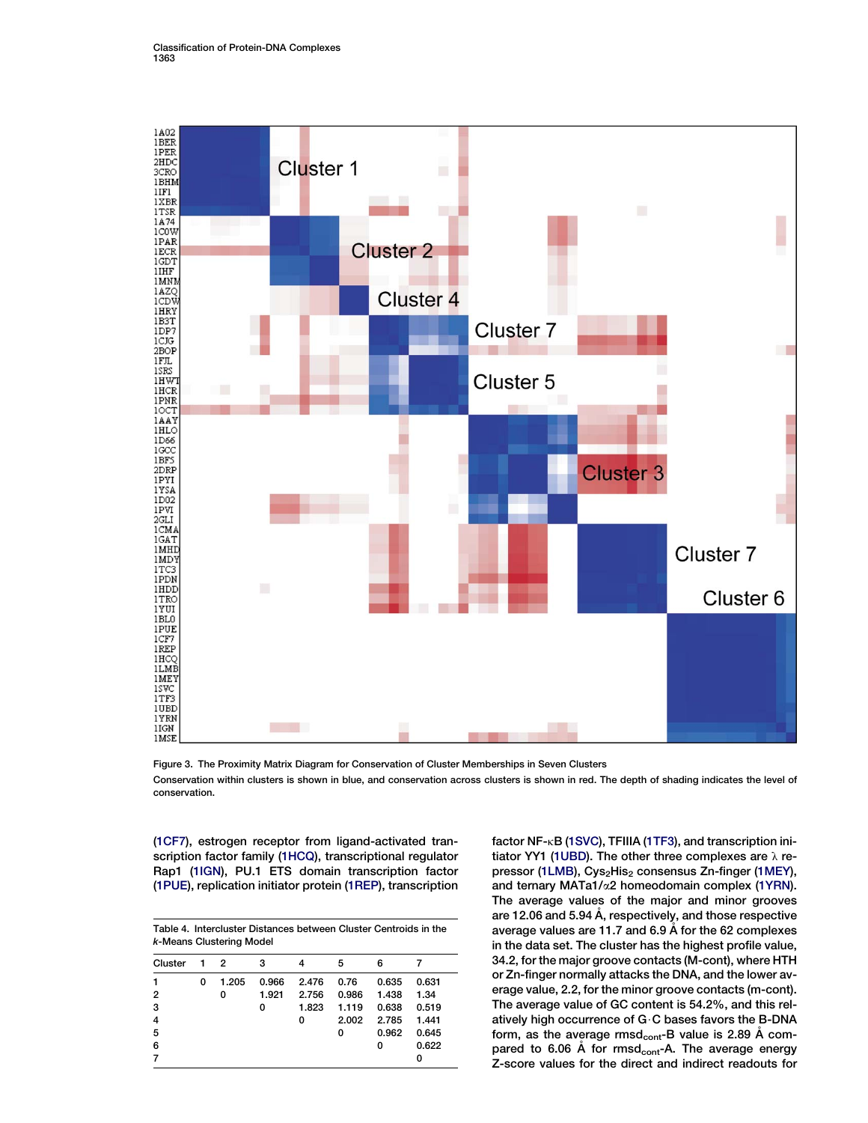

Figure 3. The Proximity Matrix Diagram for Conservation of Cluster Memberships in Seven Clusters Conservation within clusters is shown in blue, and conservation across clusters is shown in red. The depth of shading indicates the level of conservation.

(1CF7), estrogen receptor from ligand-activated transcription factor family (1HCQ), transcriptional regulator Rap1 (1IGN), PU.1 ETS domain transcription factor (1PUE), replication initiator protein (1REP), transcription

| Table 4. Intercluster Distances between Cluster Centroids in the<br>k-Means Clustering Model |    |       |       |       |       |       |       |  |  |
|----------------------------------------------------------------------------------------------|----|-------|-------|-------|-------|-------|-------|--|--|
| Cluster                                                                                      | -1 | 2     | з     | 4     | 5     | 6     |       |  |  |
| 1                                                                                            | O  | 1.205 | 0.966 | 2.476 | 0.76  | 0.635 | 0.631 |  |  |
| 2                                                                                            |    | o     | 1.921 | 2.756 | 0.986 | 1.438 | 1.34  |  |  |
| 3                                                                                            |    |       | 0     | 1.823 | 1.119 | 0.638 | 0.519 |  |  |
| 4                                                                                            |    |       |       | 0     | 2.002 | 2.785 | 1.441 |  |  |
| 5                                                                                            |    |       |       |       | 0     | 0.962 | 0.645 |  |  |
| 6                                                                                            |    |       |       |       |       | 0     | 0.622 |  |  |

7 0

factor NF-kB (1SVC), TFIIIA (1TF3), and transcription initiator YY1 (1UBD). The other three complexes are  $\lambda$  repressor (1LMB), Cys<sub>2</sub>His<sub>2</sub> consensus Zn-finger (1MEY), and ternary MATa1/ $\alpha$ 2 homeodomain complex (1YRN). The average values of the major and minor grooves are 12.06 and 5.94 Å, respectively, and those respective average values are 11.7 and 6.9 Å for the 62 complexes in the data set. The cluster has the highest profile value, 34.2, for the major groove contacts (M-cont), where HTH or Zn-finger normally attacks the DNA, and the lower average value, 2.2, for the minor groove contacts (m-cont). The average value of GC content is 54.2%, and this relatively high occurrence of G·C bases favors the B-DNA form, as the average rmsd<sub>cont</sub>-B value is 2.89  $\AA$  compared to 6.06  $Å$  for rmsd<sub>cont</sub>-A. The average energy Z-score values for the direct and indirect readouts for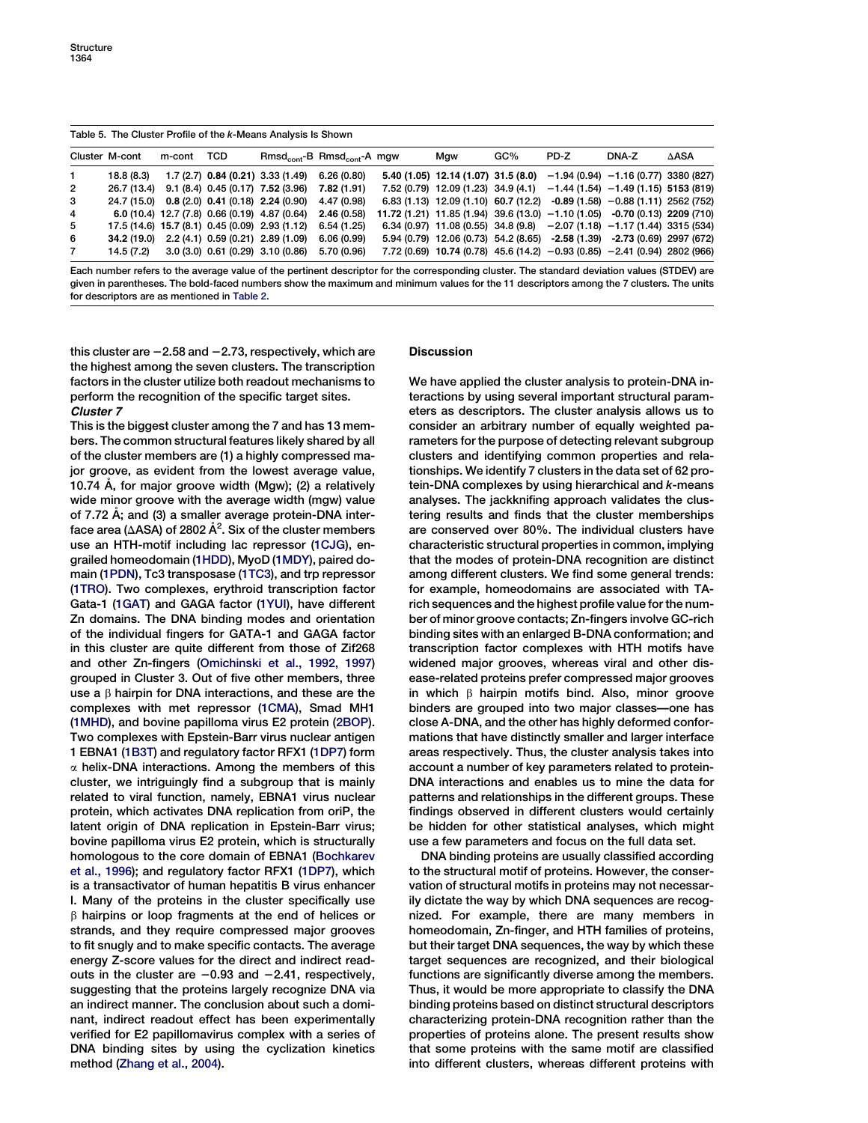| Table 5. The Cluster Profile of the k-Means Analysis Is Shown |                |        |            |                                                |                                       |  |                                      |     |                                                                                 |                                      |      |
|---------------------------------------------------------------|----------------|--------|------------|------------------------------------------------|---------------------------------------|--|--------------------------------------|-----|---------------------------------------------------------------------------------|--------------------------------------|------|
|                                                               | Cluster M-cont | m-cont | <b>TCD</b> |                                                | $Rmsd_{cont} - B Rmsd_{cont} - A$ mgw |  | Mgw                                  | GC% | PD-Z                                                                            | DNA-Z                                | ∆ASA |
| 1.                                                            | 18.8 (8.3)     |        |            | $1.7(2.7)$ 0.84 (0.21) 3.33 (1.49)             | 6.26(0.80)                            |  | 5.40 (1.05) 12.14 (1.07) 31.5 (8.0)  |     |                                                                                 | $-1.94(0.94) -1.16(0.77)$ 3380 (827) |      |
| $\overline{2}$                                                | 26.7 (13.4)    |        |            | $9.1(8.4)$ 0.45 (0.17) 7.52 (3.96)             | 7.82(1.91)                            |  | 7.52 (0.79) 12.09 (1.23) 34.9 (4.1)  |     |                                                                                 | $-1.44(1.54) -1.49(1.15)$ 5153 (819) |      |
| 3                                                             |                |        |            | 24.7 (15.0) 0.8 (2.0) 0.41 (0.18) 2.24 (0.90)  | 4.47 (0.98)                           |  | 6.83 (1.13) 12.09 (1.10) 60.7 (12.2) |     |                                                                                 | $-0.89(1.58) -0.88(1.11) 2562(752)$  |      |
| 4                                                             |                |        |            | 6.0 (10.4) 12.7 (7.8) 0.66 (0.19) 4.87 (0.64)  | 2.46(0.58)                            |  |                                      |     | 11.72 (1.21) 11.85 (1.94) 39.6 (13.0) $-1.10$ (1.05) -0.70 (0.13) 2209 (710)    |                                      |      |
| 5                                                             |                |        |            | 17.5 (14.6) 15.7 (8.1) 0.45 (0.09) 2.93 (1.12) | 6.54(1.25)                            |  |                                      |     | 6.34 (0.97) 11.08 (0.55) 34.8 (9.8) -2.07 (1.18) -1.17 (1.44) 3315 (534)        |                                      |      |
| 6                                                             | 34.2 (19.0)    |        |            | 2.2 (4.1) 0.59 (0.21) 2.89 (1.09)              | 6.06(0.99)                            |  | 5.94 (0.79) 12.06 (0.73) 54.2 (8.65) |     |                                                                                 | $-2.58(1.39) -2.73(0.69) 2997(672)$  |      |
| 7                                                             | 14.5 (7.2)     |        |            | $3.0(3.0)$ 0.61 $(0.29)$ 3.10 $(0.86)$         | 5.70 (0.96)                           |  |                                      |     | $7.72$ (0.69) 10.74 (0.78) 45.6 (14.2) $-0.93$ (0.85) $-2.41$ (0.94) 2802 (966) |                                      |      |

Each number refers to the average value of the pertinent descriptor for the corresponding cluster. The standard deviation values (STDEV) are given in parentheses. The bold-faced numbers show the maximum and minimum values for the 11 descriptors among the 7 clusters. The units for descriptors are as mentioned in Table 2.

this cluster are  $-2.58$  and  $-2.73$ , respectively, which are the highest among the seven clusters. The transcription factors in the cluster utilize both readout mechanisms to perform the recognition of the specific target sites. Cluster 7

# Discussion

This is the biggest cluster among the 7 and has 13 members. The common structural features likely shared by all of the cluster members are (1) a highly compressed major groove, as evident from the lowest average value, 10.74 Å, for major groove width (Mgw); (2) a relatively wide minor groove with the average width (mgw) value of 7.72 Å; and (3) a smaller average protein-DNA interface area ( $\Delta$ ASA) of 2802 Å $^2$ . Six of the cluster members use an HTH-motif including lac repressor (1CJG), engrailed homeodomain (1HDD), MyoD (1MDY), paired domain (1PDN), Tc3 transposase (1TC3), and trp repressor (1TRO). Two complexes, erythroid transcription factor Gata-1 (1GAT) and GAGA factor (1YUI), have different Zn domains. The DNA binding modes and orientation of the individual fingers for GATA-1 and GAGA factor in this cluster are quite different from those of Zif268 and other Zn-fingers (Omichinski et al., 1992, 1997) grouped in Cluster 3. Out of five other members, three use a  $\beta$  hairpin for DNA interactions, and these are the complexes with met repressor (1CMA), Smad MH1 (1MHD), and bovine papilloma virus E2 protein (2BOP). Two complexes with Epstein-Barr virus nuclear antigen 1 EBNA1 (1B3T) and regulatory factor RFX1 (1DP7) form  $\alpha$  helix-DNA interactions. Among the members of this cluster, we intriguingly find a subgroup that is mainly related to viral function, namely, EBNA1 virus nuclear protein, which activates DNA replication from oriP, the latent origin of DNA replication in Epstein-Barr virus; bovine papilloma virus E2 protein, which is structurally homologous to the core domain of EBNA1 (Bochkarev et al., 1996); and regulatory factor RFX1 (1DP7), which is a transactivator of human hepatitis B virus enhancer I. Many of the proteins in the cluster specifically use  $\beta$  hairpins or loop fragments at the end of helices or strands, and they require compressed major grooves to fit snugly and to make specific contacts. The average energy Z-score values for the direct and indirect readouts in the cluster are  $-0.93$  and  $-2.41$ , respectively, suggesting that the proteins largely recognize DNA via an indirect manner. The conclusion about such a dominant, indirect readout effect has been experimentally verified for E2 papillomavirus complex with a series of DNA binding sites by using the cyclization kinetics method (Zhang et al., 2004).

We have applied the cluster analysis to protein-DNA interactions by using several important structural parameters as descriptors. The cluster analysis allows us to consider an arbitrary number of equally weighted parameters for the purpose of detecting relevant subgroup clusters and identifying common properties and relationships. We identify 7 clusters in the data set of 62 protein-DNA complexes by using hierarchical and k-means analyses. The jackknifing approach validates the clustering results and finds that the cluster memberships are conserved over 80%. The individual clusters have characteristic structural properties in common, implying that the modes of protein-DNA recognition are distinct among different clusters. We find some general trends: for example, homeodomains are associated with TArich sequences and the highest profile value for the number of minor groove contacts; Zn-fingers involve GC-rich binding sites with an enlarged B-DNA conformation; and transcription factor complexes with HTH motifs have widened major grooves, whereas viral and other disease-related proteins prefer compressed major grooves in which  $\beta$  hairpin motifs bind. Also, minor groove binders are grouped into two major classes—one has close A-DNA, and the other has highly deformed conformations that have distinctly smaller and larger interface areas respectively. Thus, the cluster analysis takes into account a number of key parameters related to protein-DNA interactions and enables us to mine the data for patterns and relationships in the different groups. These findings observed in different clusters would certainly be hidden for other statistical analyses, which might use a few parameters and focus on the full data set.

DNA binding proteins are usually classified according to the structural motif of proteins. However, the conservation of structural motifs in proteins may not necessarily dictate the way by which DNA sequences are recognized. For example, there are many members in homeodomain, Zn-finger, and HTH families of proteins, but their target DNA sequences, the way by which these target sequences are recognized, and their biological functions are significantly diverse among the members. Thus, it would be more appropriate to classify the DNA binding proteins based on distinct structural descriptors characterizing protein-DNA recognition rather than the properties of proteins alone. The present results show that some proteins with the same motif are classified into different clusters, whereas different proteins with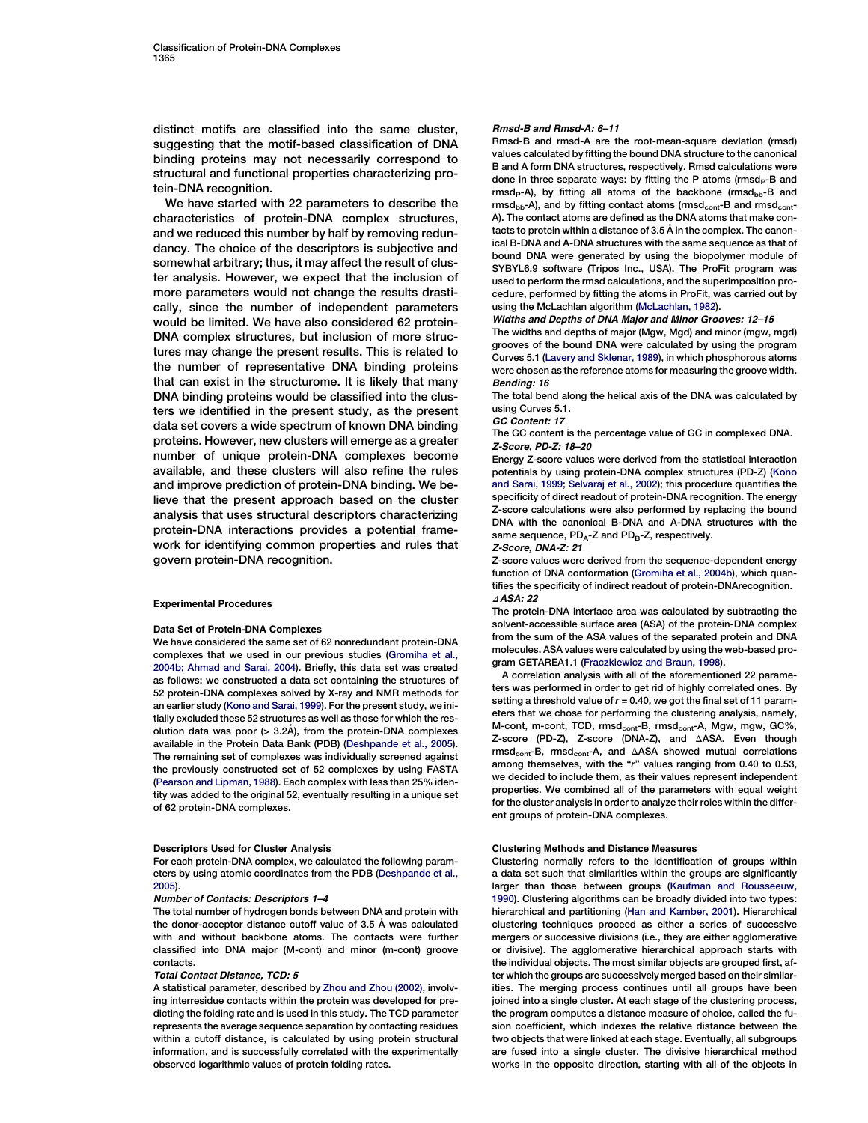distinct motifs are classified into the same cluster, suggesting that the motif-based classification of DNA binding proteins may not necessarily correspond to structural and functional properties characterizing protein-DNA recognition.

We have started with 22 parameters to describe the characteristics of protein-DNA complex structures, and we reduced this number by half by removing redundancy. The choice of the descriptors is subjective and somewhat arbitrary; thus, it may affect the result of cluster analysis. However, we expect that the inclusion of more parameters would not change the results drastically, since the number of independent parameters would be limited. We have also considered 62 protein-DNA complex structures, but inclusion of more structures may change the present results. This is related to the number of representative DNA binding proteins that can exist in the structurome. It is likely that many DNA binding proteins would be classified into the clusters we identified in the present study, as the present data set covers a wide spectrum of known DNA binding proteins. However, new clusters will emerge as a greater number of unique protein-DNA complexes become available, and these clusters will also refine the rules and improve prediction of protein-DNA binding. We believe that the present approach based on the cluster analysis that uses structural descriptors characterizing protein-DNA interactions provides a potential framework for identifying common properties and rules that govern protein-DNA recognition.

#### Experimental Procedures

## Data Set of Protein-DNA Complexes

We have considered the same set of 62 nonredundant protein-DNA complexes that we used in our previous studies (Gromiha et al., 2004b; Ahmad and Sarai, 2004). Briefly, this data set was created as follows: we constructed a data set containing the structures of 52 protein-DNA complexes solved by X-ray and NMR methods for an earlier study (Kono and Sarai, 1999). For the present study, we initially excluded these 52 structures as well as those for which the resolution data was poor (> 3.2Å), from the protein-DNA complexes available in the Protein Data Bank (PDB) (Deshpande et al., 2005). The remaining set of complexes was individually screened against the previously constructed set of 52 complexes by using FASTA (Pearson and Lipman, 1988). Each complex with less than 25% identity was added to the original 52, eventually resulting in a unique set of 62 protein-DNA complexes.

#### Descriptors Used for Cluster Analysis

For each protein-DNA complex, we calculated the following parameters by using atomic coordinates from the PDB (Deshpande et al., 2005).

#### Number of Contacts: Descriptors 1–4

The total number of hydrogen bonds between DNA and protein with the donor-acceptor distance cutoff value of  $3.5 \text{ Å}$  was calculated with and without backbone atoms. The contacts were further classified into DNA major (M-cont) and minor (m-cont) groove contacts.

#### Total Contact Distance, TCD: 5

A statistical parameter, described by Zhou and Zhou (2002), involving interresidue contacts within the protein was developed for predicting the folding rate and is used in this study. The TCD parameter represents the average sequence separation by contacting residues within a cutoff distance, is calculated by using protein structural information, and is successfully correlated with the experimentally observed logarithmic values of protein folding rates.

#### Rmsd-B and Rmsd-A: 6–11

Rmsd-B and rmsd-A are the root-mean-square deviation (rmsd) values calculated by fitting the bound DNA structure to the canonical B and A form DNA structures, respectively. Rmsd calculations were done in three separate ways: by fitting the P atoms (rmsd<sub>P</sub>-B and  $rmsd_P-A$ ), by fitting all atoms of the backbone ( $rmsd_{bb}$ -B and  $rmsd_{bb}$ -A), and by fitting contact atoms ( $rmsd_{cont}$ -B and  $rmsd_{cont}$ -A). The contact atoms are defined as the DNA atoms that make contacts to protein within a distance of 3.5  $\mathring{\mathsf{A}}$  in the complex. The canonical B-DNA and A-DNA structures with the same sequence as that of bound DNA were generated by using the biopolymer module of SYBYL6.9 software (Tripos Inc., USA). The ProFit program was used to perform the rmsd calculations, and the superimposition procedure, performed by fitting the atoms in ProFit, was carried out by using the McLachlan algorithm (McLachlan, 1982).

#### Widths and Depths of DNA Major and Minor Grooves: 12–15

The widths and depths of major (Mgw, Mgd) and minor (mgw, mgd) grooves of the bound DNA were calculated by using the program Curves 5.1 (Lavery and Sklenar, 1989), in which phosphorous atoms were chosen as the reference atoms for measuring the groove width. Bending: 16

The total bend along the helical axis of the DNA was calculated by using Curves 5.1.

#### GC Content: 17

The GC content is the percentage value of GC in complexed DNA. Z-Score, PD-Z: 18–20

Energy Z-score values were derived from the statistical interaction potentials by using protein-DNA complex structures (PD-Z) (Kono and Sarai, 1999; Selvaraj et al., 2002); this procedure quantifies the specificity of direct readout of protein-DNA recognition. The energy Z-score calculations were also performed by replacing the bound DNA with the canonical B-DNA and A-DNA structures with the same sequence,  $PD_A-Z$  and  $PD_B-Z$ , respectively. Z-Score, DNA-Z: 21

Z-score values were derived from the sequence-dependent energy function of DNA conformation (Gromiha et al., 2004b), which quantifies the specificity of indirect readout of protein-DNArecognition. DASA: 22

The protein-DNA interface area was calculated by subtracting the solvent-accessible surface area (ASA) of the protein-DNA complex from the sum of the ASA values of the separated protein and DNA molecules. ASA values were calculated by using the web-based program GETAREA1.1 (Fraczkiewicz and Braun, 1998).

A correlation analysis with all of the aforementioned 22 parameters was performed in order to get rid of highly correlated ones. By setting a threshold value of  $r = 0.40$ , we got the final set of 11 parameters that we chose for performing the clustering analysis, namely, M-cont, m-cont, TCD, rmsd<sub>cont</sub>-B, rmsd<sub>cont</sub>-A, Mgw, mgw, GC%, Z-score (PD-Z), Z-score (DNA-Z), and AASA. Even though  $rmsd<sub>cont</sub>-B$ ,  $rmsd<sub>cont</sub>-A$ , and  $\triangle$ ASA showed mutual correlationsamong themselves, with the "r" values ranging from 0.40 to 0.53, we decided to include them, as their values represent independent properties. We combined all of the parameters with equal weight for the cluster analysis in order to analyze their roles within the different groups of protein-DNA complexes.

#### Clustering Methods and Distance Measures

Clustering normally refers to the identification of groups within a data set such that similarities within the groups are significantly larger than those between groups (Kaufman and Rousseeuw, 1990). Clustering algorithms can be broadly divided into two types: hierarchical and partitioning (Han and Kamber, 2001). Hierarchical clustering techniques proceed as either a series of successive mergers or successive divisions (i.e., they are either agglomerative or divisive). The agglomerative hierarchical approach starts with the individual objects. The most similar objects are grouped first, after which the groups are successively merged based on their similarities. The merging process continues until all groups have been joined into a single cluster. At each stage of the clustering process, the program computes a distance measure of choice, called the fusion coefficient, which indexes the relative distance between the two objects that were linked at each stage. Eventually, all subgroups are fused into a single cluster. The divisive hierarchical method works in the opposite direction, starting with all of the objects in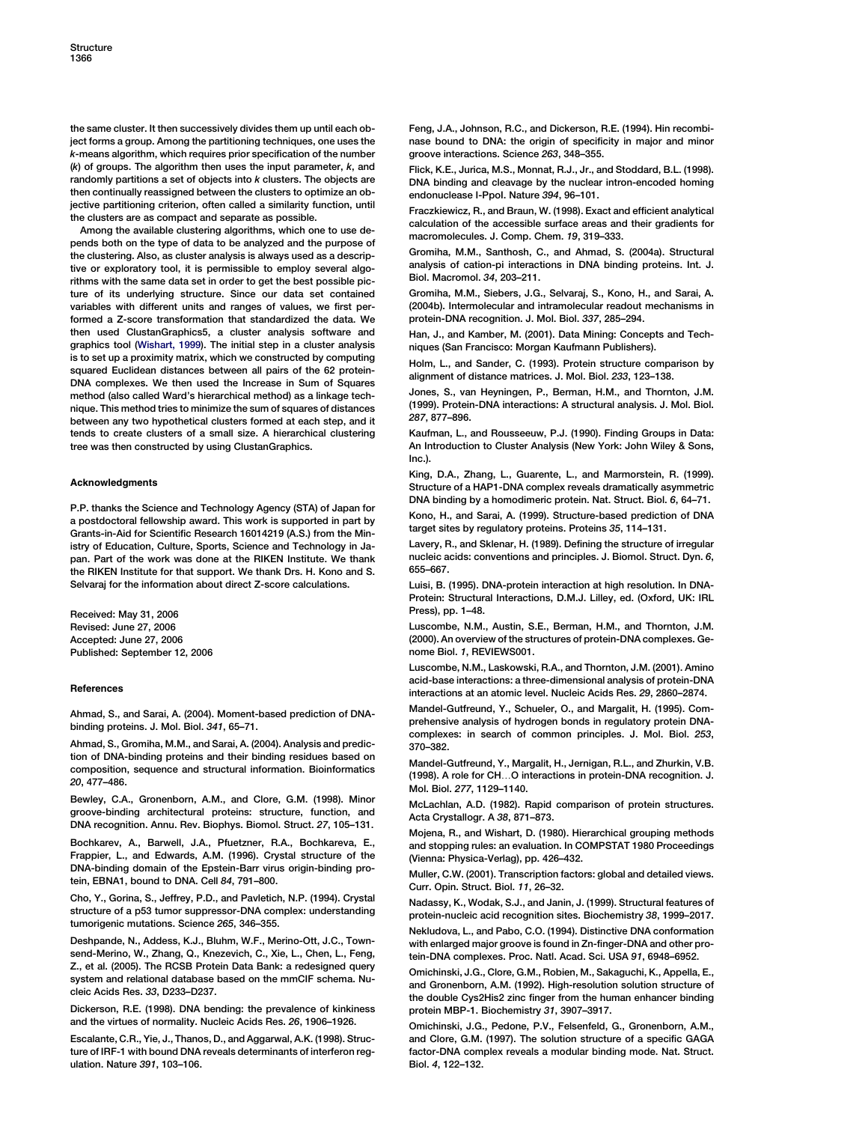the same cluster. It then successively divides them up until each object forms a group. Among the partitioning techniques, one uses the  $k$ -means algorithm, which requires prior specification of the number  $(k)$  of groups. The algorithm then uses the input parameter,  $k$ , and randomly partitions a set of objects into  $k$  clusters. The objects are then continually reassigned between the clusters to optimize an objective partitioning criterion, often called a similarity function, until the clusters are as compact and separate as possible.

Among the available clustering algorithms, which one to use depends both on the type of data to be analyzed and the purpose of the clustering. Also, as cluster analysis is always used as a descriptive or exploratory tool, it is permissible to employ several algorithms with the same data set in order to get the best possible picture of its underlying structure. Since our data set contained variables with different units and ranges of values, we first performed a Z-score transformation that standardized the data. We then used ClustanGraphics5, a cluster analysis software and graphics tool (Wishart, 1999). The initial step in a cluster analysis is to set up a proximity matrix, which we constructed by computing squared Euclidean distances between all pairs of the 62 protein-DNA complexes. We then used the Increase in Sum of Squares method (also called Ward's hierarchical method) as a linkage technique. This method tries to minimize the sum of squares of distances between any two hypothetical clusters formed at each step, and it tends to create clusters of a small size. A hierarchical clustering tree was then constructed by using ClustanGraphics.

#### Acknowledgments

P.P. thanks the Science and Technology Agency (STA) of Japan for a postdoctoral fellowship award. This work is supported in part by Grants-in-Aid for Scientific Research 16014219 (A.S.) from the Ministry of Education, Culture, Sports, Science and Technology in Japan. Part of the work was done at the RIKEN Institute. We thank the RIKEN Institute for that support. We thank Drs. H. Kono and S. Selvaraj for the information about direct Z-score calculations.

Received: May 31, 2006 Revised: June 27, 2006 Accepted: June 27, 2006 Published: September 12, 2006

#### References

Ahmad, S., and Sarai, A. (2004). Moment-based prediction of DNAbinding proteins. J. Mol. Biol. 341, 65–71.

Ahmad, S., Gromiha, M.M., and Sarai, A. (2004). Analysis and prediction of DNA-binding proteins and their binding residues based on composition, sequence and structural information. Bioinformatics 20, 477–486.

Bewley, C.A., Gronenborn, A.M., and Clore, G.M. (1998). Minor groove-binding architectural proteins: structure, function, and DNA recognition. Annu. Rev. Biophys. Biomol. Struct. 27, 105–131.

Bochkarev, A., Barwell, J.A., Pfuetzner, R.A., Bochkareva, E., Frappier, L., and Edwards, A.M. (1996). Crystal structure of the DNA-binding domain of the Epstein-Barr virus origin-binding protein, EBNA1, bound to DNA. Cell 84, 791–800.

Cho, Y., Gorina, S., Jeffrey, P.D., and Pavletich, N.P. (1994). Crystal structure of a p53 tumor suppressor-DNA complex: understanding tumorigenic mutations. Science 265, 346–355.

Deshpande, N., Addess, K.J., Bluhm, W.F., Merino-Ott, J.C., Townsend-Merino, W., Zhang, Q., Knezevich, C., Xie, L., Chen, L., Feng, Z., et al. (2005). The RCSB Protein Data Bank: a redesigned query system and relational database based on the mmCIF schema. Nucleic Acids Res. 33, D233–D237.

Dickerson, R.E. (1998). DNA bending: the prevalence of kinkiness and the virtues of normality. Nucleic Acids Res. 26, 1906–1926.

Escalante, C.R., Yie, J., Thanos, D., and Aggarwal, A.K. (1998). Structure of IRF-1 with bound DNA reveals determinants of interferon regulation. Nature 391, 103–106.

Feng, J.A., Johnson, R.C., and Dickerson, R.E. (1994). Hin recombinase bound to DNA: the origin of specificity in major and minor groove interactions. Science 263, 348–355.

Flick, K.E., Jurica, M.S., Monnat, R.J., Jr., and Stoddard, B.L. (1998). DNA binding and cleavage by the nuclear intron-encoded homing endonuclease I-PpoI. Nature 394, 96–101.

Fraczkiewicz, R., and Braun, W. (1998). Exact and efficient analytical calculation of the accessible surface areas and their gradients for macromolecules. J. Comp. Chem. 19, 319–333.

Gromiha, M.M., Santhosh, C., and Ahmad, S. (2004a). Structural analysis of cation-pi interactions in DNA binding proteins. Int. J. Biol. Macromol. 34, 203–211.

Gromiha, M.M., Siebers, J.G., Selvaraj, S., Kono, H., and Sarai, A. (2004b). Intermolecular and intramolecular readout mechanisms in protein-DNA recognition. J. Mol. Biol. 337, 285–294.

Han, J., and Kamber, M. (2001). Data Mining: Concepts and Techniques (San Francisco: Morgan Kaufmann Publishers).

Holm, L., and Sander, C. (1993). Protein structure comparison by alignment of distance matrices. J. Mol. Biol. 233, 123–138.

Jones, S., van Heyningen, P., Berman, H.M., and Thornton, J.M. (1999). Protein-DNA interactions: A structural analysis. J. Mol. Biol. 287, 877–896.

Kaufman, L., and Rousseeuw, P.J. (1990). Finding Groups in Data: An Introduction to Cluster Analysis (New York: John Wiley & Sons, Inc.).

King, D.A., Zhang, L., Guarente, L., and Marmorstein, R. (1999). Structure of a HAP1-DNA complex reveals dramatically asymmetric DNA binding by a homodimeric protein. Nat. Struct. Biol. 6, 64–71.

Kono, H., and Sarai, A. (1999). Structure-based prediction of DNA target sites by regulatory proteins. Proteins 35, 114–131.

Lavery, R., and Sklenar, H. (1989). Defining the structure of irregular nucleic acids: conventions and principles. J. Biomol. Struct. Dyn. 6, 655–667.

Luisi, B. (1995). DNA-protein interaction at high resolution. In DNA-Protein: Structural Interactions, D.M.J. Lilley, ed. (Oxford, UK: IRL Press), pp. 1–48.

Luscombe, N.M., Austin, S.E., Berman, H.M., and Thornton, J.M. (2000). An overview of the structures of protein-DNA complexes. Genome Biol. 1, REVIEWS001.

Luscombe, N.M., Laskowski, R.A., and Thornton, J.M. (2001). Amino acid-base interactions: a three-dimensional analysis of protein-DNA interactions at an atomic level. Nucleic Acids Res. 29, 2860–2874.

Mandel-Gutfreund, Y., Schueler, O., and Margalit, H. (1995). Comprehensive analysis of hydrogen bonds in regulatory protein DNAcomplexes: in search of common principles. J. Mol. Biol. 253, 370–382.

Mandel-Gutfreund, Y., Margalit, H., Jernigan, R.L., and Zhurkin, V.B. (1998). A role for CH...O interactions in protein-DNA recognition. J. Mol. Biol. 277, 1129–1140.

McLachlan, A.D. (1982). Rapid comparison of protein structures. Acta Crystallogr. A 38, 871–873.

Mojena, R., and Wishart, D. (1980). Hierarchical grouping methods and stopping rules: an evaluation. In COMPSTAT 1980 Proceedings (Vienna: Physica-Verlag), pp. 426–432.

Muller, C.W. (2001). Transcription factors: global and detailed views. Curr. Opin. Struct. Biol. 11, 26–32.

Nadassy, K., Wodak, S.J., and Janin, J. (1999). Structural features of protein-nucleic acid recognition sites. Biochemistry 38, 1999–2017.

Nekludova, L., and Pabo, C.O. (1994). Distinctive DNA conformation with enlarged major groove is found in Zn-finger-DNA and other protein-DNA complexes. Proc. Natl. Acad. Sci. USA 91, 6948–6952.

Omichinski, J.G., Clore, G.M., Robien, M., Sakaguchi, K., Appella, E., and Gronenborn, A.M. (1992). High-resolution solution structure of the double Cys2His2 zinc finger from the human enhancer binding protein MBP-1. Biochemistry 31, 3907–3917.

Omichinski, J.G., Pedone, P.V., Felsenfeld, G., Gronenborn, A.M., and Clore, G.M. (1997). The solution structure of a specific GAGA factor-DNA complex reveals a modular binding mode. Nat. Struct. Biol. 4, 122–132.